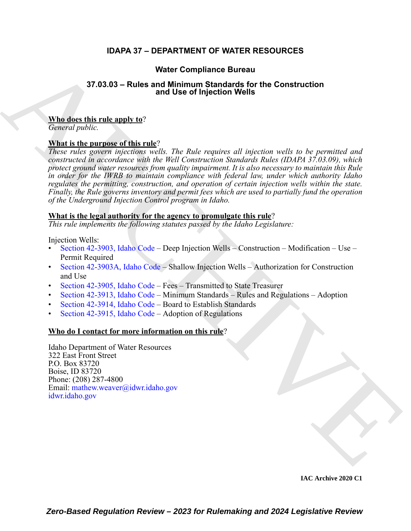# **IDAPA 37 – DEPARTMENT OF WATER RESOURCES**

# **Water Compliance Bureau**

## **37.03.03 – Rules and Minimum Standards for the Construction and Use of Injection Wells**

# **Who does this rule apply to**?

*General public.*

# **What is the purpose of this rule**?

**STAGAS - Rules and Minimum Standards for the [C](https://legislature.idaho.gov/statutesrules/idstat/Title42/T42CH39/SECT42-3903A/)onstruction<br>
and Use of injection Wids<br>
Archives and Use of injection Wids<br>
Construction<br>
What is the purpose of this rate)<br>
The two constructed in the purpose of this rate)<br>** *These rules govern injections wells. The Rule requires all injection wells to be permitted and constructed in accordance with the Well Construction Standards Rules (IDAPA 37.03.09), which protect ground water resources from quality impairment. It is also necessary to maintain this Rule in order for the IWRB to maintain compliance with federal law, under which authority Idaho regulates the permitting, construction, and operation of certain injection wells within the state. Finally, the Rule governs inventory and permit fees which are used to partially fund the operation of the Underground Injection Control program in Idaho.*

## **What is the legal authority for the agency to promulgate this rule**?

*This rule implements the following statutes passed by the Idaho Legislature:*

Injection Wells:

- Section 42-3903, Idaho Code Deep Injection Wells Construction Modification Use Permit Required
- Section 42-3903A, Idaho Code Shallow Injection Wells Authorization for Construction and Use
- Section 42-3905, Idaho Code Fees Transmitted to State Treasurer
- Section 42-3913, Idaho Code Minimum Standards Rules and Regulations Adoption
- Section 42-3914, Idaho Code Board to Establish Standards
- Section 42-3915, Idaho Code Adoption of Regulations

# **Who do I contact for more information on this rule**?

Idaho Department of Water Resources 322 East Front Street P.O. Box 83720 Boise, ID 83720 Phone: (208) 287-4800 Email: mathew.weaver@idwr.idaho.gov idwr.idaho.gov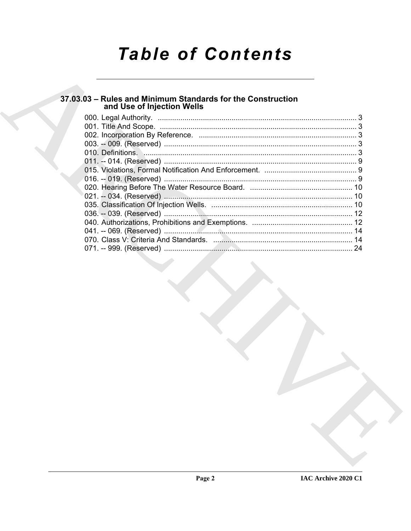# **Table of Contents**

# 37.03.03 - Rules and Minimum Standards for the Construction<br>and Use of Injection Wells

| -24 |
|-----|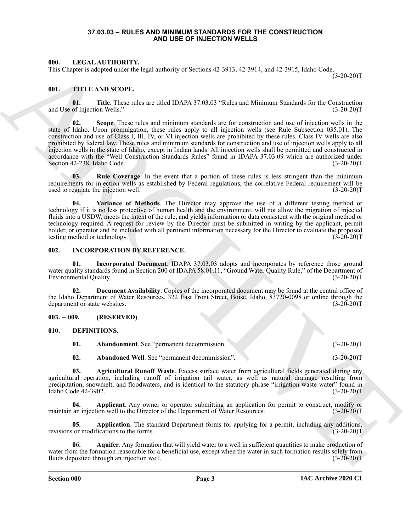#### **37.03.03 – RULES AND MINIMUM STANDARDS FOR THE CONSTRUCTION AND USE OF INJECTION WELLS**

### <span id="page-2-14"></span><span id="page-2-1"></span><span id="page-2-0"></span>**000. LEGAL AUTHORITY.**

This Chapter is adopted under the legal authority of Sections 42-3913, 42-3914, and 42-3915, Idaho Code.

 $(3-20-20)T$ 

### <span id="page-2-15"></span><span id="page-2-2"></span>**001. TITLE AND SCOPE.**

<span id="page-2-18"></span><span id="page-2-17"></span>**01. Title**. These rules are titled IDAPA 37.03.03 "Rules and Minimum Standards for the Construction of Injection Wells." (3-20-20) and Use of Injection Wells."

601. IDENTIFY CHARACTER (1982) and the state of Michael School and 2.914, 42.1994, and 42.3914, kalo Code. (2022)<br>
401. The School and Character is a state of the state of Minimum Scalar for the Contraction<br>
401. The Scho **02. Scope**. These rules and minimum standards are for construction and use of injection wells in the state of Idaho. Upon promulgation, these rules apply to all injection wells (see Rule Subsection 035.01). The construction and use of Class I, III, IV, or VI injection wells are prohibited by these rules. Class IV wells are also prohibited by federal law. These rules and minimum standards for construction and use of injection wells apply to all injection wells in the state of Idaho, except in Indian lands. All injection wells shall be permitted and constructed in accordance with the "Well Construction Standards Rules" found in IDAPA 37.03.09 which are authorized under<br>Section 42-238, Idaho Code. (3-20-20) Section 42-238, Idaho Code.

<span id="page-2-16"></span>**03. Rule Coverage**. In the event that a portion of these rules is less stringent than the minimum requirements for injection wells as established by Federal regulations, the correlative Federal requirement will be used to regulate the injection well. (3-20-20)T

<span id="page-2-19"></span>**04. Variance of Methods**. The Director may approve the use of a different testing method or technology if it is no less protective of human health and the environment, will not allow the migration of injected fluids into a USDW, meets the intent of the rule, and yields information or data consistent with the original method or technology required. A request for review by the Director must be submitted in writing by the applicant, permit holder, or operator and be included with all pertinent information necessary for the Director to evaluate the proposed testing method or technology. (3-20-20)T

#### <span id="page-2-13"></span><span id="page-2-3"></span>**002. INCORPORATION BY REFERENCE.**

**Incorporated Document**. IDAPA 37.03.03 adopts and incorporates by reference those ground water quality standards found in Section 200 of IDAPA 58.01.11, "Ground Water Quality Rule," of the Department of Environmental Quality. (3-20-20)T

**02. Document Availability**. Copies of the incorporated document may be found at the central office of the Idaho Department of Water Resources, 322 East Front Street, Boise, Idaho, 83720-0098 or online through the department or state websites. (3-20-20)T

### <span id="page-2-4"></span>**003. -- 009. (RESERVED)**

#### <span id="page-2-5"></span>**010. DEFINITIONS.**

<span id="page-2-8"></span><span id="page-2-6"></span>**01. Abandonment**. See "permanent decommission. (3-20-20)T

<span id="page-2-10"></span><span id="page-2-9"></span><span id="page-2-7"></span>**02.** Abandoned Well. See "permanent decommission". (3-20-20)T

**03. Agricultural Runoff Waste**. Excess surface water from agricultural fields generated during any agricultural operation, including runoff of irrigation tail water, as well as natural drainage resulting from precipitation, snowmelt, and floodwaters, and is identical to the statutory phrase "irrigation waste water" found in Idaho Code 42-3902. Idaho Code 42-3902.

**04.** Applicant. Any owner or operator submitting an application for permit to construct, modify or an injection well to the Director of the Department of Water Resources. (3-20-20)<sup>T</sup> maintain an injection well to the Director of the Department of Water Resources.

<span id="page-2-11"></span>**05. Application**. The standard Department forms for applying for a permit, including any additions, revisions or modifications to the forms. (3-20-20)T

<span id="page-2-12"></span>**06. Aquifer**. Any formation that will yield water to a well in sufficient quantities to make production of water from the formation reasonable for a beneficial use, except when the water in such formation results solely from fluids deposited through an injection well. (3-20-20)T (3-20-20)T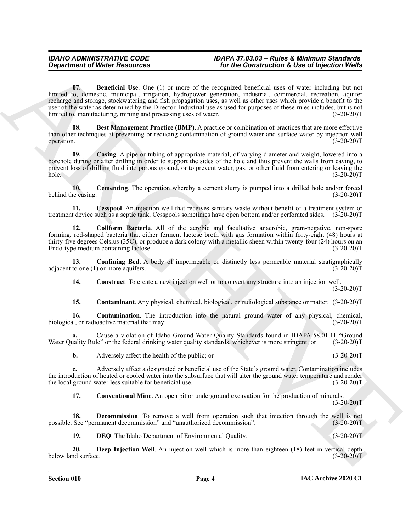**Construction of Water Resources**<br> **Corine Construction & Use of hydroids** Variation Correlation Correlation Correlation Correlation Correlation Correlation Correlation Correlation Correlation Correlation Correlation Corr **07. Beneficial Use**. One (1) or more of the recognized beneficial uses of water including but not limited to, domestic, municipal, irrigation, hydropower generation, industrial, commercial, recreation, aquifer recharge and storage, stockwatering and fish propagation uses, as well as other uses which provide a benefit to the user of the water as determined by the Director. Industrial use as used for purposes of these rules includes, but is not limited to, manufacturing, mining and processing uses of water. (3-20-20)T

<span id="page-3-1"></span><span id="page-3-0"></span>**Best Management Practice (BMP)**. A practice or combination of practices that are more effective than other techniques at preventing or reducing contamination of ground water and surface water by injection well operation. (3-20-20)T

<span id="page-3-2"></span>**09. Casing**. A pipe or tubing of appropriate material, of varying diameter and weight, lowered into a borehole during or after drilling in order to support the sides of the hole and thus prevent the walls from caving, to prevent loss of drilling fluid into porous ground, or to prevent water, gas, or other fluid from entering or leaving the  $hole.$  (3-20-20)T

<span id="page-3-3"></span>**10. Cementing**. The operation whereby a cement slurry is pumped into a drilled hole and/or forced behind the casing. (3-20-20)T

<span id="page-3-4"></span>**11. Cesspool**. An injection well that receives sanitary waste without benefit of a treatment system or treatment device such as a septic tank. Cesspools sometimes have open bottom and/or perforated sides. (3-20-20)T

<span id="page-3-5"></span>**12. Coliform Bacteria**. All of the aerobic and facultative anaerobic, gram-negative, non-spore forming, rod-shaped bacteria that either ferment lactose broth with gas formation within forty-eight (48) hours at thirty-five degrees Celsius (35C), or produce a dark colony with a metallic sheen within twenty-four (24) hours on an Endo-type medium containing lactose. (3-20-20) Endo-type medium containing lactose.

**13. Confining Bed**. A body of impermeable or distinctly less permeable material stratigraphically adjacent to one (1) or more aquifers.  $(3-20-20)$ T

<span id="page-3-7"></span><span id="page-3-6"></span>**14. Construct**. To create a new injection well or to convert any structure into an injection well.  $(3-20-20)T$ 

<span id="page-3-9"></span><span id="page-3-8"></span>**15. Contaminant**. Any physical, chemical, biological, or radiological substance or matter. (3-20-20)T

**16.** Contamination. The introduction into the natural ground water of any physical, chemical, or radioactive material that may: (3-20-20) biological, or radioactive material that may:

Cause a violation of Idaho Ground Water Quality Standards found in IDAPA 58.01.11 "Ground le" or the federal drinking water quality standards, whichever is more stringent; or (3-20-20)<sup>T</sup> Water Quality Rule" or the federal drinking water quality standards, whichever is more stringent; or

**b.** Adversely affect the health of the public; or (3-20-20)T

**c.** Adversely affect a designated or beneficial use of the State's ground water. Contamination includes the introduction of heated or cooled water into the subsurface that will alter the ground water temperature and render<br>the local ground water less suitable for beneficial use. (3-20-20) the local ground water less suitable for beneficial use.

<span id="page-3-11"></span><span id="page-3-10"></span>**17. Conventional Mine**. An open pit or underground excavation for the production of minerals.  $(3-20-20)T$ 

**18. Decommission**. To remove a well from operation such that injection through the well is not possible. See "permanent decommission" and "unauthorized decommission". (3-20-20)T

<span id="page-3-13"></span><span id="page-3-12"></span>**19. DEQ**. The Idaho Department of Environmental Quality. (3-20-20)T

**20. Deep Injection Well**. An injection well which is more than eighteen (18) feet in vertical depth below land surface. (3-20-20)T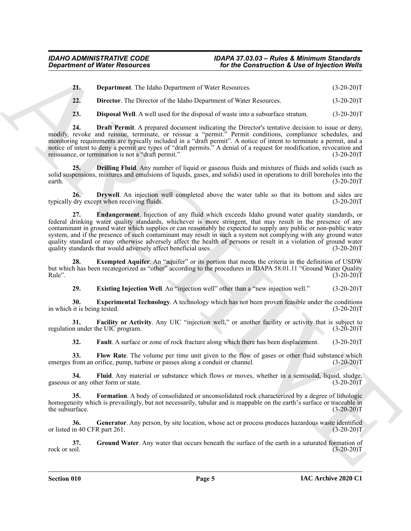<span id="page-4-0"></span>**21. Department**. The Idaho Department of Water Resources. (3-20-20)T

<span id="page-4-1"></span>**22. Director**. The Director of the Idaho Department of Water Resources. (3-20-20)T

<span id="page-4-3"></span><span id="page-4-2"></span>**23. Disposal Well**. A well used for the disposal of waste into a subsurface stratum. (3-20-20)T

**24. Draft Permit**. A prepared document indicating the Director's tentative decision to issue or deny, modify, revoke and reissue, terminate, or reissue a "permit." Permit conditions, compliance schedules, and monitoring requirements are typically included in a "draft permit". A notice of intent to terminate a permit, and a notice of intent to deny a permit are types of "draft permits." A denial of a request for modification, revocation and<br>reissuance, or termination is not a "draft permit." (3-20-20) reissuance, or termination is not a "draft permit."

<span id="page-4-4"></span>**25. Drilling Fluid**. Any number of liquid or gaseous fluids and mixtures of fluids and solids (such as solid suspensions, mixtures and emulsions of liquids, gases, and solids) used in operations to drill boreholes into the  $\text{earth.}$  (3-20-20)T

<span id="page-4-6"></span><span id="page-4-5"></span>**26. Drywell**. An injection well completed above the water table so that its bottom and sides are typically dry except when receiving fluids. (3-20-20)T

**Contained of Water Resources To the Contained of Lyres** Contained Contained Contained Contained Contained Contained Contained Contained Contained Contained Contained Contained Contained Contained Contained Contained Co **27. Endangerment**. Injection of any fluid which exceeds Idaho ground water quality standards, or federal drinking water quality standards, whichever is more stringent, that may result in the presence of any contaminant in ground water which supplies or can reasonably be expected to supply any public or non-public water system, and if the presence of such contaminant may result in such a system not complying with any ground water quality standard or may otherwise adversely affect the health of persons or result in a violation of ground water quality standards that would adversely affect beneficial uses. (3-20-20)T

**28. Exempted Aquifer**. An "aquifer" or its portion that meets the criteria in the definition of USDW but which has been recategorized as "other" according to the procedures in IDAPA 58.01.11 "Ground Water Quality  $Rule"$ .  $(3-20-20)T$ 

<span id="page-4-9"></span><span id="page-4-8"></span><span id="page-4-7"></span>**29. Existing Injection Well**. An "injection well" other than a "new injection well." (3-20-20)T

**30. Experimental Technology**. A technology which has not been proven feasible under the conditions it is being tested. (3-20-20) in which it is being tested.

**31. Facility or Activity**. Any UIC "injection well," or another facility or activity that is subject to regulation under the UIC program. (3-20-20)T

<span id="page-4-13"></span><span id="page-4-12"></span><span id="page-4-11"></span><span id="page-4-10"></span>**32.** Fault. A surface or zone of rock fracture along which there has been displacement. (3-20-20)T

**33. Flow Rate**. The volume per time unit given to the flow of gases or other fluid substance which emerges from an orifice, pump, turbine or passes along a conduit or channel. (3-20-20) (3-20-20)

**34.** Fluid. Any material or substance which flows or moves, whether in a semisolid, liquid, sludge, or any other form or state. (3-20-20) gaseous or any other form or state.

<span id="page-4-14"></span>**35. Formation**. A body of consolidated or unconsolidated rock characterized by a degree of lithologic homogeneity which is prevailingly, but not necessarily, tabular and is mappable on the earth's surface or traceable in the subsurface. (3-20-20) the subsurface.

<span id="page-4-15"></span>**36. Generator**. Any person, by site location, whose act or process produces hazardous waste identified or listed in 40 CFR part 261. (3-20-20)T

<span id="page-4-16"></span>**37.** Ground Water. Any water that occurs beneath the surface of the earth in a saturated formation of rock or soil.  $(3-20-20)T$ rock or soil.  $(3-20-20)T$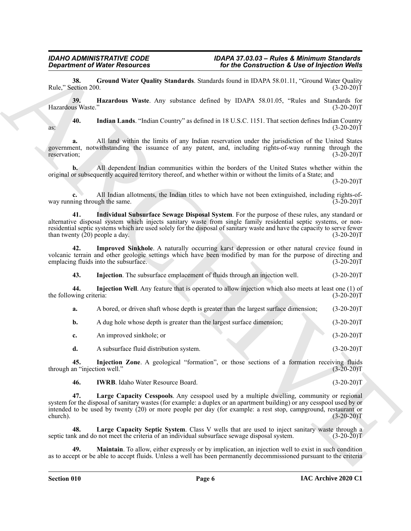<span id="page-5-0"></span>**38. Ground Water Quality Standards**. Standards found in IDAPA 58.01.11, "Ground Water Quality ection 200. (3-20-20)T Rule," Section 200.

<span id="page-5-1"></span>**39. Hazardous Waste**. Any substance defined by IDAPA 58.01.05, "Rules and Standards for Hazardous Waste." (3-20-20)T

<span id="page-5-3"></span>**40. Indian Lands**. "Indian Country" as defined in 18 U.S.C. 1151. That section defines Indian Country as:  $(3-20-20)$ T

**a.** All land within the limits of any Indian reservation under the jurisdiction of the United States government, notwithstanding the issuance of any patent, and, including rights-of-way running through the reservation; (3-20-20)T

**b.** All dependent Indian communities within the borders of the United States whether within the original or subsequently acquired territory thereof, and whether within or without the limits of a State; and

 $(3-20-20)T$ 

<span id="page-5-4"></span>**c.** All Indian allotments, the Indian titles to which have not been extinguished, including rights-ofway running through the same. (3-20-20)T

**Experimental Weiter Resolution 3.** The Histophone Continues and the *China Continues Continues Continues* Continues Continues Continues Continues Continues Continues Continues Continues Continues Continues Continues Cont **41. Individual Subsurface Sewage Disposal System**. For the purpose of these rules, any standard or alternative disposal system which injects sanitary waste from single family residential septic systems, or nonresidential septic systems which are used solely for the disposal of sanitary waste and have the capacity to serve fewer than twenty (20) people a day. (3-20-20)T

**42. Improved Sinkhole**. A naturally occurring karst depression or other natural crevice found in volcanic terrain and other geologic settings which have been modified by man for the purpose of directing and emplacing fluids into the subsurface. (3-20-20) emplacing fluids into the subsurface.

<span id="page-5-6"></span><span id="page-5-5"></span><span id="page-5-2"></span>**43. Injection**. The subsurface emplacement of fluids through an injection well. (3-20-20)T

**44. Injection Well**. Any feature that is operated to allow injection which also meets at least one (1) of the following criteria:  $(3-20-20)T$ 

**a.** A bored, or driven shaft whose depth is greater than the largest surface dimension; (3-20-20)T

**b.** A dug hole whose depth is greater than the largest surface dimension; (3-20-20)T

|  | An improved sinkhole; or |  |  | $(3-20-20)T$ |
|--|--------------------------|--|--|--------------|
|--|--------------------------|--|--|--------------|

<span id="page-5-7"></span>**d.** A subsurface fluid distribution system. (3-20-20)T

**45. Injection Zone**. A geological "formation", or those sections of a formation receiving fluids an "injection well." (3-20-20) through an "injection well."

<span id="page-5-9"></span><span id="page-5-8"></span>**46. IWRB**. Idaho Water Resource Board. (3-20-20)T

**47. Large Capacity Cesspools**. Any cesspool used by a multiple dwelling, community or regional system for the disposal of sanitary wastes (for example: a duplex or an apartment building) or any cesspool used by or intended to be used by twenty (20) or more people per day (for example: a rest stop, campground, restaurant or church).  $(3-20-20)T$ 

<span id="page-5-10"></span>**48. Large Capacity Septic System**. Class V wells that are used to inject sanitary waste through a septic tank and do not meet the criteria of an individual subsurface sewage disposal system. (3-20-20)T

<span id="page-5-11"></span>**Maintain**. To allow, either expressly or by implication, an injection well to exist in such condition as to accept or be able to accept fluids. Unless a well has been permanently decommissioned pursuant to the criteria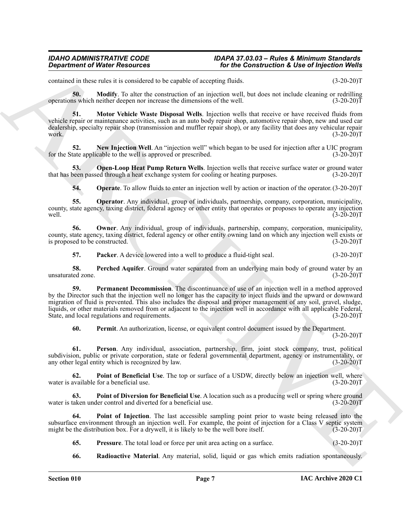contained in these rules it is considered to be capable of accepting fluids. (3-20-20)T

<span id="page-6-0"></span>**50. Modify**. To alter the construction of an injection well, but does not include cleaning or redrilling as which neither deepen nor increase the dimensions of the well. (3-20-20) operations which neither deepen nor increase the dimensions of the well.

<span id="page-6-1"></span>**51. Motor Vehicle Waste Disposal Wells**. Injection wells that receive or have received fluids from vehicle repair or maintenance activities, such as an auto body repair shop, automotive repair shop, new and used car dealership, specialty repair shop (transmission and muffler repair shop), or any facility that does any vehicular repair work.  $(3-20-20)T$ 

<span id="page-6-2"></span>**52.** New Injection Well. An "injection well" which began to be used for injection after a UIC program tate applicable to the well is approved or prescribed. (3-20-20) for the State applicable to the well is approved or prescribed.

**Open-Loop Heat Pump Return Wells**. Injection wells that receive surface water or ground water that has been passed through a heat exchange system for cooling or heating purposes. (3-20-20)T

<span id="page-6-5"></span><span id="page-6-4"></span><span id="page-6-3"></span>**54. Operate**. To allow fluids to enter an injection well by action or inaction of the operator. (3-20-20)T

**55. Operator**. Any individual, group of individuals, partnership, company, corporation, municipality, county, state agency, taxing district, federal agency or other entity that operates or proposes to operate any injection well.  $(3-20-20)T$ 

**56. Owner**. Any individual, group of individuals, partnership, company, corporation, municipality, county, state agency, taxing district, federal agency or other entity owning land on which any injection well exists or is proposed to be constructed. (3-20-20)T

<span id="page-6-9"></span><span id="page-6-8"></span><span id="page-6-7"></span><span id="page-6-6"></span>**57. Packer**. A device lowered into a well to produce a fluid-tight seal. (3-20-20)T

**58. Perched Aquifer**. Ground water separated from an underlying main body of ground water by an unsaturated zone. (3-20-20)T

*Given* of Water Resources<br>
continue that we have a matter of the Construction **K**  $B$  is construction **C** is construction to the construction  $B$  is construction of the construction  $B$  is constructed to the constructi **59. Permanent Decommission**. The discontinuance of use of an injection well in a method approved by the Director such that the injection well no longer has the capacity to inject fluids and the upward or downward migration of fluid is prevented. This also includes the disposal and proper management of any soil, gravel, sludge, liquids, or other materials removed from or adjacent to the injection well in accordance with all applicable Federal, State, and local regulations and requirements. (3-20-20)T

<span id="page-6-12"></span><span id="page-6-11"></span><span id="page-6-10"></span>**60. Permit**. An authorization, license, or equivalent control document issued by the Department.

 $(3-20-20)T$ 

**61. Person**. Any individual, association, partnership, firm, joint stock company, trust, political subdivision, public or private corporation, state or federal governmental department, agency or instrumentality, or any other legal entity which is recognized by law. (3-20-20) T

**62.** Point of Beneficial Use. The top or surface of a USDW, directly below an injection well, where available for a beneficial use. (3-20-20) water is available for a beneficial use.

<span id="page-6-13"></span>**63. Point of Diversion for Beneficial Use**. A location such as a producing well or spring where ground water is taken under control and diverted for a beneficial use. (3-20-20)T

**64. Point of Injection**. The last accessible sampling point prior to waste being released into the subsurface environment through an injection well. For example, the point of injection for a Class V septic system might be the distribution box. For a drywell, it is likely to be the well bore itself.  $(3-20-20)T$ 

- <span id="page-6-15"></span><span id="page-6-14"></span>**65.** Pressure. The total load or force per unit area acting on a surface.  $(3-20-20)T$
- <span id="page-6-16"></span>**66. Radioactive Material**. Any material, solid, liquid or gas which emits radiation spontaneously.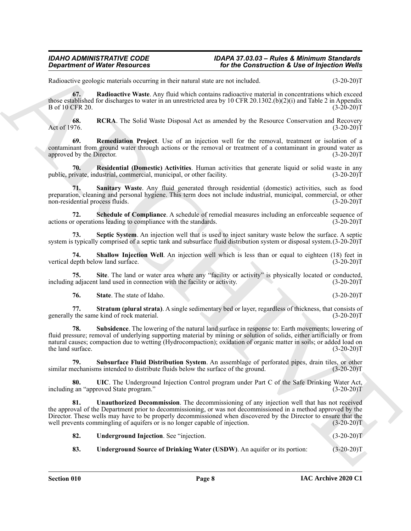<span id="page-7-0"></span>Radioactive geologic materials occurring in their natural state are not included. (3-20-20)T

**67. Radioactive Waste**. Any fluid which contains radioactive material in concentrations which exceed those established for discharges to water in an unrestricted area by 10 CFR 20.1302.(b)(2)(i) and Table 2 in Appendix B of 10 CFR 20. (3-20-20)T

<span id="page-7-1"></span>**68.** RCRA. The Solid Waste Disposal Act as amended by the Resource Conservation and Recovery Act of 1976. (3-20-20) Act of 1976.  $(3-20-20)T$ 

<span id="page-7-2"></span>**69. Remediation Project**. Use of an injection well for the removal, treatment or isolation of a contaminant from ground water through actions or the removal or treatment of a contaminant in ground water as approved by the Director. (3-20-20)T

<span id="page-7-3"></span>**70. Residential (Domestic) Activities**. Human activities that generate liquid or solid waste in any public, private, industrial, commercial, municipal, or other facility. (3-20-20)T

<span id="page-7-4"></span>**71. Sanitary Waste**. Any fluid generated through residential (domestic) activities, such as food preparation, cleaning and personal hygiene. This term does not include industrial, municipal, commercial, or other non-residential process fluids. (3-20-20)T

<span id="page-7-5"></span>**72.** Schedule of Compliance. A schedule of remedial measures including an enforceable sequence of r operations leading to compliance with the standards. (3-20-20)<sup>T</sup> actions or operations leading to compliance with the standards.

<span id="page-7-6"></span>**73. Septic System**. An injection well that is used to inject sanitary waste below the surface. A septic system is typically comprised of a septic tank and subsurface fluid distribution system or disposal system.(3-20-20)T

<span id="page-7-7"></span>**74. Shallow Injection Well**. An injection well which is less than or equal to eighteen (18) feet in depth below land surface. (3-20-20) vertical depth below land surface.

**75.** Site. The land or water area where any "facility or activity" is physically located or conducted, gadiacent land used in connection with the facility or activity. (3-20-20)<sup>T</sup> including adjacent land used in connection with the facility or activity.

<span id="page-7-11"></span><span id="page-7-10"></span><span id="page-7-9"></span><span id="page-7-8"></span>**76. State**. The state of Idaho. (3-20-20)T

**77. Stratum (plural strata)**. A single sedimentary bed or layer, regardless of thickness, that consists of the same kind of rock material. (3-20-20) generally the same kind of rock material.

**Equivariant of Weiter Resources**<br>
Relationship of the Construction's Live of hydrogen products<br>
Relationship construction in the method and the method in the space of the construction in the space of the space of the spa **78. Subsidence**. The lowering of the natural land surface in response to: Earth movements; lowering of fluid pressure; removal of underlying supporting material by mining or solution of solids, either artificially or from natural causes; compaction due to wetting (Hydrocompaction); oxidation of organic matter in soils; or added load on the land surface. (3-20-20)T

<span id="page-7-12"></span>**79. Subsurface Fluid Distribution System**. An assemblage of perforated pipes, drain tiles, or other similar mechanisms intended to distribute fluids below the surface of the ground.  $(3-20-20)T$ 

<span id="page-7-13"></span>**80. UIC**. The Underground Injection Control program under Part C of the Safe Drinking Water Act, including an "approved State program." (3-20-20) T

**81. Unauthorized Decommission**. The decommissioning of any injection well that has not received the approval of the Department prior to decommissioning, or was not decommissioned in a method approved by the Director. These wells may have to be properly decommissioned when discovered by the Director to ensure that the well prevents commingling of aquifers or is no longer capable of injection. (3-20-20)T

<span id="page-7-16"></span><span id="page-7-15"></span><span id="page-7-14"></span>

| 82. | <b>Underground Injection.</b> See "injection. |  | $(3-20-20)T$ |
|-----|-----------------------------------------------|--|--------------|
|-----|-----------------------------------------------|--|--------------|

**83. Underground Source of Drinking Water (USDW)**. An aquifer or its portion: (3-20-20)T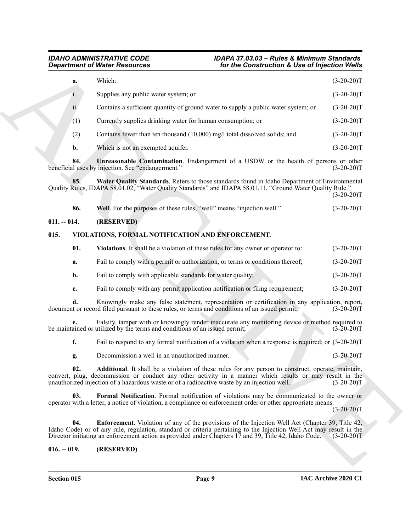|               |                | for the Construction & Use of Injection Wells<br><b>Department of Water Resources</b>                                                                                                                                                                                                                                            |              |
|---------------|----------------|----------------------------------------------------------------------------------------------------------------------------------------------------------------------------------------------------------------------------------------------------------------------------------------------------------------------------------|--------------|
|               | a.             | Which:                                                                                                                                                                                                                                                                                                                           | $(3-20-20)T$ |
|               | 1.             | Supplies any public water system; or                                                                                                                                                                                                                                                                                             | $(3-20-20)T$ |
|               | ii.            | Contains a sufficient quantity of ground water to supply a public water system; or                                                                                                                                                                                                                                               | $(3-20-20)T$ |
|               | (1)            | Currently supplies drinking water for human consumption; or                                                                                                                                                                                                                                                                      | $(3-20-20)T$ |
|               | (2)            | Contains fewer than ten thousand (10,000) mg/l total dissolved solids; and                                                                                                                                                                                                                                                       | $(3-20-20)T$ |
|               | b.             | Which is not an exempted aquifer.                                                                                                                                                                                                                                                                                                | $(3-20-20)T$ |
|               | 84.            | Unreasonable Contamination. Endangerment of a USDW or the health of persons or other<br>beneficial uses by injection. See "endangerment."                                                                                                                                                                                        | $(3-20-20)T$ |
|               | 85.            | Water Quality Standards. Refers to those standards found in Idaho Department of Environmental<br>Quality Rules, IDAPA 58.01.02, "Water Quality Standards" and IDAPA 58.01.11, "Ground Water Quality Rule."                                                                                                                       | $(3-20-20)T$ |
|               | 86.            | Well. For the purposes of these rules, "well" means "injection well."                                                                                                                                                                                                                                                            | $(3-20-20)T$ |
| $011. - 014.$ |                | (RESERVED)                                                                                                                                                                                                                                                                                                                       |              |
| 015.          |                | VIOLATIONS, FORMAL NOTIFICATION AND ENFORCEMENT.                                                                                                                                                                                                                                                                                 |              |
|               | 01.            | Violations. It shall be a violation of these rules for any owner or operator to:                                                                                                                                                                                                                                                 | $(3-20-20)T$ |
|               | a.             | Fail to comply with a permit or authorization, or terms or conditions thereof;                                                                                                                                                                                                                                                   | $(3-20-20)T$ |
|               | $\mathbf{b}$ . | Fail to comply with applicable standards for water quality;                                                                                                                                                                                                                                                                      | $(3-20-20)T$ |
|               | c.             | Fail to comply with any permit application notification or filing requirement;                                                                                                                                                                                                                                                   | $(3-20-20)T$ |
|               | d.             | Knowingly make any false statement, representation or certification in any application, report,<br>document or record filed pursuant to these rules, or terms and conditions of an issued permit;                                                                                                                                | $(3-20-20)T$ |
|               |                | Falsify, tamper with or knowingly render inaccurate any monitoring device or method required to<br>be maintained or utilized by the terms and conditions of an issued permit;                                                                                                                                                    | $(3-20-20)T$ |
|               | f.             | Fail to respond to any formal notification of a violation when a response is required; or (3-20-20)T                                                                                                                                                                                                                             |              |
|               | g.             | Decommission a well in an unauthorized manner.                                                                                                                                                                                                                                                                                   | $(3-20-20)T$ |
|               | 02.            | Additional. It shall be a violation of these rules for any person to construct, operate, maintain,<br>convert, plug, decommission or conduct any other activity in a manner which results or may result in the<br>unauthorized injection of a hazardous waste or of a radioactive waste by an injection well.                    | $(3-20-20)T$ |
|               | 03.            | Formal Notification. Formal notification of violations may be communicated to the owner or<br>operator with a letter, a notice of violation, a compliance or enforcement order or other appropriate means.                                                                                                                       | $(3-20-20)T$ |
|               | 04.            | Enforcement. Violation of any of the provisions of the Injection Well Act (Chapter 39, Title 42,<br>Idaho Code) or of any rule, regulation, standard or criteria pertaining to the Injection Well Act may result in the<br>Director initiating an enforcement action as provided under Chapters 17 and 39, Title 42, Idaho Code. | $(3-20-20)T$ |
|               |                |                                                                                                                                                                                                                                                                                                                                  |              |

<span id="page-8-5"></span><span id="page-8-4"></span><span id="page-8-3"></span>

| 86. | <b>Well.</b> For the purposes of these rules, "well" means "injection well." | $(3-20-20)T$ |
|-----|------------------------------------------------------------------------------|--------------|

### <span id="page-8-0"></span>**011. -- 014. (RESERVED)**

### <span id="page-8-1"></span>**015. VIOLATIONS, FORMAL NOTIFICATION AND ENFORCEMENT.**

<span id="page-8-10"></span><span id="page-8-9"></span><span id="page-8-8"></span><span id="page-8-7"></span><span id="page-8-6"></span><span id="page-8-2"></span>

| -01. | <b>Violations.</b> It shall be a violation of these rules for any owner or operator to: | $(3-20-20)T$ |
|------|-----------------------------------------------------------------------------------------|--------------|
| а.   | Fail to comply with a permit or authorization, or terms or conditions thereof;          | $(3-20-20)T$ |
| b.   | Fail to comply with applicable standards for water quality;                             | $(3-20-20)T$ |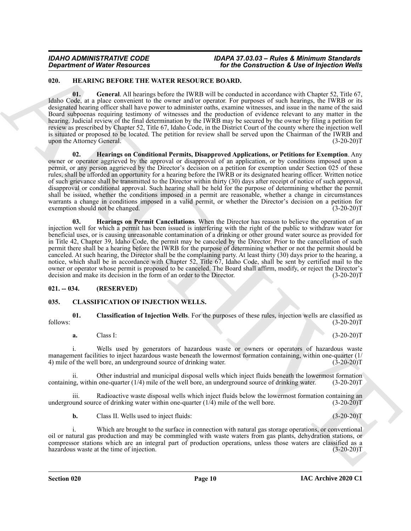### <span id="page-9-4"></span><span id="page-9-0"></span>**020. HEARING BEFORE THE WATER RESOURCE BOARD.**

<span id="page-9-5"></span>**01. General**. All hearings before the IWRB will be conducted in accordance with Chapter 52, Title 67, Idaho Code, at a place convenient to the owner and/or operator. For purposes of such hearings, the IWRB or its designated hearing officer shall have power to administer oaths, examine witnesses, and issue in the name of the said Board subpoenas requiring testimony of witnesses and the production of evidence relevant to any matter in the hearing. Judicial review of the final determination by the IWRB may be secured by the owner by filing a petition for review as prescribed by Chapter 52, Title 67, Idaho Code, in the District Court of the county where the injection well is situated or proposed to be located. The petition for review shall be served upon the Chairman of the IWRB and upon the Attorney General. (3-20-20)T

<span id="page-9-7"></span><span id="page-9-6"></span>**02. Hearings on Conditional Permits, Disapproved Applications, or Petitions for Exemption**. Any owner or operator aggrieved by the approval or disapproval of an application, or by conditions imposed upon a permit, or any person aggrieved by the Director's decision on a petition for exemption under Section 025 of these rules, shall be afforded an opportunity for a hearing before the IWRB or its designated hearing officer. Written notice of such grievance shall be transmitted to the Director within thirty (30) days after receipt of notice of such approval, disapproval or conditional approval. Such hearing shall be held for the purpose of determining whether the permit shall be issued, whether the conditions imposed in a permit are reasonable, whether a change in circumstances warrants a change in conditions imposed in a valid permit, or whether the Director's decision on a petition for exemption should not be changed. (3-20-20)T

**Construction of Nickel Resources**<br> **Construction A. Use of Injection West 2000**<br> **Construction A. Use of Injection West 2000**<br> **Construction 2000**<br> **ARCHIVE CONSTRUCT UNITS (**CONSTRUCT)<br> **ARCHIVE CONSTRUCT UNITS (**CONSTR **03. Hearings on Permit Cancellations**. When the Director has reason to believe the operation of an injection well for which a permit has been issued is interfering with the right of the public to withdraw water for beneficial uses, or is causing unreasonable contamination of a drinking or other ground water source as provided for in Title 42, Chapter 39, Idaho Code, the permit may be canceled by the Director. Prior to the cancellation of such permit there shall be a hearing before the IWRB for the purpose of determining whether or not the permit should be canceled. At such hearing, the Director shall be the complaining party. At least thirty (30) days prior to the hearing, a notice, which shall be in accordance with Chapter 52, Title 67, Idaho Code, shall be sent by certified mail to the owner or operator whose permit is proposed to be canceled. The Board shall affirm, modify, or reject the Director's decision and make its decision in the form of an order to the Director. (3-20-20)T

### <span id="page-9-1"></span>**021. -- 034. (RESERVED)**

### <span id="page-9-3"></span><span id="page-9-2"></span>**035. CLASSIFICATION OF INJECTION WELLS.**

**01. Classification of Injection Wells**. For the purposes of these rules, injection wells are classified as follows: (3-20-20)T

#### **a.** Class I: (3-20-20)T

i. Wells used by generators of hazardous waste or owners or operators of hazardous waste management facilities to inject hazardous waste beneath the lowermost formation containing, within one-quarter (1/ 4) mile of the well bore, an underground source of drinking water. (3-20-20)T

ii. Other industrial and municipal disposal wells which inject fluids beneath the lowermost formation  $ng$ , within one-quarter  $(1/4)$  mile of the well bore, an underground source of drinking water.  $(3-20-20)$ T containing, within one-quarter  $(1/4)$  mile of the well bore, an underground source of drinking water.

Radioactive waste disposal wells which inject fluids below the lowermost formation containing an underground source of drinking water within one-quarter  $(1/4)$  mile of the well bore.  $(3-20-20)T$ 

**b.** Class II. Wells used to inject fluids: (3-20-20)T

i. Which are brought to the surface in connection with natural gas storage operations, or conventional oil or natural gas production and may be commingled with waste waters from gas plants, dehydration stations, or compressor stations which are an integral part of production operations, unless those waters are classified as a hazardous waste at the time of injection.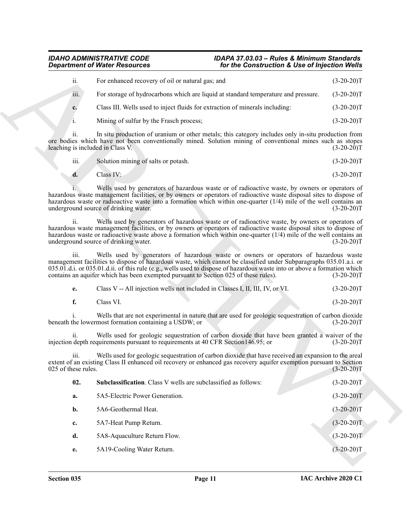| ii.  | For enhanced recovery of oil or natural gas; and                                   | $(3-20-20)T$ |
|------|------------------------------------------------------------------------------------|--------------|
| iii. | For storage of hydrocarbons which are liquid at standard temperature and pressure. | $(3-20-20)T$ |
| c.   | Class III. Wells used to inject fluids for extraction of minerals including:       | $(3-20-20)T$ |
|      | Mining of sulfur by the Frasch process;                                            | $(3-20-20)T$ |

| iii.<br>Solution mining of salts or potash. | $(3-20-20)T$ |
|---------------------------------------------|--------------|
|---------------------------------------------|--------------|

<span id="page-10-0"></span>

| $e_{\cdot}$ | Class V -- All injection wells not included in Classes I, II, III, IV, or VI. |  | $(3-20-20)T$ |
|-------------|-------------------------------------------------------------------------------|--|--------------|
|             | Class VI.                                                                     |  | $(3-20-20)T$ |

|                             | <b>Department of Water Resources</b>                                                 | for the Construction & Use of Injection Wells                                                                                                                                                                                                                                                                                                |              |
|-----------------------------|--------------------------------------------------------------------------------------|----------------------------------------------------------------------------------------------------------------------------------------------------------------------------------------------------------------------------------------------------------------------------------------------------------------------------------------------|--------------|
| ii.                         | For enhanced recovery of oil or natural gas; and                                     |                                                                                                                                                                                                                                                                                                                                              | $(3-20-20)T$ |
| iii.                        |                                                                                      | For storage of hydrocarbons which are liquid at standard temperature and pressure.                                                                                                                                                                                                                                                           | $(3-20-20)T$ |
| c.                          | Class III. Wells used to inject fluids for extraction of minerals including:         |                                                                                                                                                                                                                                                                                                                                              | $(3-20-20)T$ |
| i.                          | Mining of sulfur by the Frasch process;                                              |                                                                                                                                                                                                                                                                                                                                              | $(3-20-20)T$ |
| 11.                         | leaching is included in Class V.                                                     | In situ production of uranium or other metals; this category includes only in-situ production from<br>ore bodies which have not been conventionally mined. Solution mining of conventional mines such as stopes                                                                                                                              | $(3-20-20)T$ |
| iii.                        | Solution mining of salts or potash.                                                  |                                                                                                                                                                                                                                                                                                                                              | $(3-20-20)T$ |
| d.                          | Class IV:                                                                            |                                                                                                                                                                                                                                                                                                                                              | $(3-20-20)T$ |
|                             | underground source of drinking water.                                                | Wells used by generators of hazardous waste or of radioactive waste, by owners or operators of<br>hazardous waste management facilities, or by owners or operators of radioactive waste disposal sites to dispose of<br>hazardous waste or radioactive waste into a formation which within one-quarter $(1/4)$ mile of the well contains an  | $(3-20-20)T$ |
| ii.                         | underground source of drinking water.                                                | Wells used by generators of hazardous waste or of radioactive waste, by owners or operators of<br>hazardous waste management facilities, or by owners or operators of radioactive waste disposal sites to dispose of<br>hazardous waste or radioactive waste above a formation which within one-quarter $(1/4)$ mile of the well contains an | $(3-20-20)T$ |
| iii.                        | contains an aquifer which has been exempted pursuant to Section 025 of these rules). | Wells used by generators of hazardous waste or owners or operators of hazardous waste<br>management facilities to dispose of hazardous waste, which cannot be classified under Subparagraphs 035.01.a.i. or<br>035.01.d.i. or 035.01.d.ii. of this rule (e.g., wells used to dispose of hazardous waste into or above a formation which      | $(3-20-20)T$ |
| e.                          | Class V -- All injection wells not included in Classes I, II, III, IV, or VI.        |                                                                                                                                                                                                                                                                                                                                              | $(3-20-20)T$ |
| f.                          | Class VI.                                                                            |                                                                                                                                                                                                                                                                                                                                              | $(3-20-20)T$ |
|                             | beneath the lowermost formation containing a USDW; or                                | Wells that are not experimental in nature that are used for geologic sequestration of carbon dioxide                                                                                                                                                                                                                                         | $(3-20-20)T$ |
| 11.                         | injection depth requirements pursuant to requirements at 40 CFR Section 146.95; or   | Wells used for geologic sequestration of carbon dioxide that have been granted a waiver of the                                                                                                                                                                                                                                               | $(3-20-20)T$ |
| 111.<br>025 of these rules. |                                                                                      | Wells used for geologic sequestration of carbon dioxide that have received an expansion to the areal<br>extent of an existing Class II enhanced oil recovery or enhanced gas recovery aquifer exemption pursuant to Section                                                                                                                  | $(3-20-20)T$ |
| 02.                         | Subclassification. Class V wells are subclassified as follows:                       |                                                                                                                                                                                                                                                                                                                                              | $(3-20-20)T$ |
| a.                          | 5A5-Electric Power Generation.                                                       |                                                                                                                                                                                                                                                                                                                                              | $(3-20-20)T$ |
| b.                          | 5A6-Geothermal Heat.                                                                 |                                                                                                                                                                                                                                                                                                                                              | $(3-20-20)T$ |
| c.                          | 5A7-Heat Pump Return.                                                                |                                                                                                                                                                                                                                                                                                                                              | $(3-20-20)T$ |
|                             | 5A8-Aquaculture Return Flow.                                                         |                                                                                                                                                                                                                                                                                                                                              | $(3-20-20)T$ |
| d.                          |                                                                                      |                                                                                                                                                                                                                                                                                                                                              |              |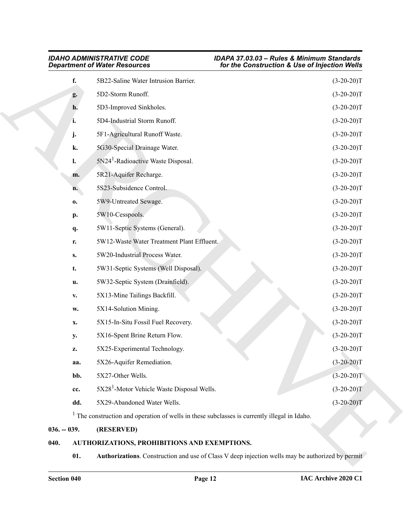| f.<br>g.<br>h.<br>i.<br>j.<br>k.<br>l.<br>m.<br>n.<br>0.<br>p. | 5B22-Saline Water Intrusion Barrier.<br>5D2-Storm Runoff.<br>5D3-Improved Sinkholes.<br>5D4-Industrial Storm Runoff.<br>5F1-Agricultural Runoff Waste.<br>5G30-Special Drainage Water.<br>5N24 <sup>1</sup> -Radioactive Waste Disposal.<br>5R21-Aquifer Recharge.<br>5S23-Subsidence Control.<br>5W9-Untreated Sewage.<br>5W10-Cesspools. | $(3-20-20)T$<br>$(3-20-20)T$<br>$(3-20-20)T$<br>$(3-20-20)T$<br>$(3-20-20)T$<br>$(3-20-20)T$<br>$(3-20-20)T$<br>$(3-20-20)T$<br>$(3-20-20)T$<br>$(3-20-20)T$ |
|----------------------------------------------------------------|--------------------------------------------------------------------------------------------------------------------------------------------------------------------------------------------------------------------------------------------------------------------------------------------------------------------------------------------|--------------------------------------------------------------------------------------------------------------------------------------------------------------|
|                                                                |                                                                                                                                                                                                                                                                                                                                            |                                                                                                                                                              |
|                                                                |                                                                                                                                                                                                                                                                                                                                            |                                                                                                                                                              |
|                                                                |                                                                                                                                                                                                                                                                                                                                            |                                                                                                                                                              |
|                                                                |                                                                                                                                                                                                                                                                                                                                            |                                                                                                                                                              |
|                                                                |                                                                                                                                                                                                                                                                                                                                            |                                                                                                                                                              |
|                                                                |                                                                                                                                                                                                                                                                                                                                            |                                                                                                                                                              |
|                                                                |                                                                                                                                                                                                                                                                                                                                            |                                                                                                                                                              |
|                                                                |                                                                                                                                                                                                                                                                                                                                            |                                                                                                                                                              |
|                                                                |                                                                                                                                                                                                                                                                                                                                            |                                                                                                                                                              |
|                                                                |                                                                                                                                                                                                                                                                                                                                            |                                                                                                                                                              |
|                                                                |                                                                                                                                                                                                                                                                                                                                            | $(3-20-20)T$                                                                                                                                                 |
| q.                                                             | 5W11-Septic Systems (General).                                                                                                                                                                                                                                                                                                             | $(3-20-20)T$                                                                                                                                                 |
| r.                                                             | 5W12-Waste Water Treatment Plant Effluent.                                                                                                                                                                                                                                                                                                 | $(3-20-20)T$                                                                                                                                                 |
| $S_{\bullet}$                                                  | 5W20-Industrial Process Water.                                                                                                                                                                                                                                                                                                             | $(3-20-20)T$                                                                                                                                                 |
| t.                                                             | 5W31-Septic Systems (Well Disposal).                                                                                                                                                                                                                                                                                                       | $(3-20-20)T$                                                                                                                                                 |
| u.                                                             | 5W32-Septic System (Drainfield).                                                                                                                                                                                                                                                                                                           | $(3-20-20)T$                                                                                                                                                 |
| $\mathbf{V}_{\bullet}$                                         | 5X13-Mine Tailings Backfill.                                                                                                                                                                                                                                                                                                               | $(3-20-20)T$                                                                                                                                                 |
| W.                                                             | 5X14-Solution Mining.                                                                                                                                                                                                                                                                                                                      | $(3-20-20)T$                                                                                                                                                 |
| X.                                                             | 5X15-In-Situ Fossil Fuel Recovery.                                                                                                                                                                                                                                                                                                         | $(3-20-20)T$                                                                                                                                                 |
| <b>y.</b>                                                      | 5X16-Spent Brine Return Flow.                                                                                                                                                                                                                                                                                                              | $(3-20-20)T$                                                                                                                                                 |
| Z.                                                             | 5X25-Experimental Technology.                                                                                                                                                                                                                                                                                                              | $(3-20-20)T$                                                                                                                                                 |
| aa.                                                            | 5X26-Aquifer Remediation.                                                                                                                                                                                                                                                                                                                  | $(3-20-20)T$                                                                                                                                                 |
| bb.                                                            | 5X27-Other Wells.                                                                                                                                                                                                                                                                                                                          | $(3-20-20)T$                                                                                                                                                 |
| cc.                                                            | 5X28 <sup>1</sup> -Motor Vehicle Waste Disposal Wells.                                                                                                                                                                                                                                                                                     | $(3-20-20)T$                                                                                                                                                 |
| dd.                                                            | 5X29-Abandoned Water Wells.                                                                                                                                                                                                                                                                                                                | $(3-20-20)T$                                                                                                                                                 |
|                                                                | <sup>1</sup> The construction and operation of wells in these subclasses is currently illegal in Idaho.                                                                                                                                                                                                                                    |                                                                                                                                                              |
| $036. - 039.$                                                  | (RESERVED)                                                                                                                                                                                                                                                                                                                                 |                                                                                                                                                              |
| 040.                                                           | AUTHORIZATIONS, PROHIBITIONS AND EXEMPTIONS.                                                                                                                                                                                                                                                                                               |                                                                                                                                                              |
| 01.                                                            |                                                                                                                                                                                                                                                                                                                                            | Authorizations. Construction and use of Class V deep injection wells may be authorized by permit                                                             |

# <span id="page-11-0"></span>**036. -- 039. (RESERVED)**

### <span id="page-11-3"></span><span id="page-11-2"></span><span id="page-11-1"></span>**040. AUTHORIZATIONS, PROHIBITIONS AND EXEMPTIONS.**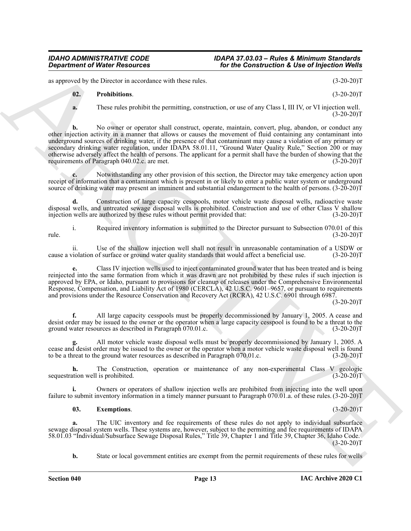as approved by the Director in accordance with these rules. (3-20-20)T

### <span id="page-12-1"></span>**02. Prohibitions**. (3-20-20)T

- - **a.** These rules prohibit the permitting, construction, or use of any Class I, III IV, or VI injection well.  $(3-20-20)T$

**Consideration of Nicolar Associates** The Construction **X** Use of highests (1998) and the set of the Construction **A**<br>
ARCHIVE CONSIDERATION CONSIDERATION CONSIDERATION (2008) (2008)<br>
(3) The set of the Construction and t **b.** No owner or operator shall construct, operate, maintain, convert, plug, abandon, or conduct any other injection activity in a manner that allows or causes the movement of fluid containing any contaminant into underground sources of drinking water, if the presence of that contaminant may cause a violation of any primary or secondary drinking water regulation, under IDAPA 58.01.11, "Ground Water Quality Rule," Section 200 or may otherwise adversely affect the health of persons. The applicant for a permit shall have the burden of showing that the requirements of Paragraph 040.02.c. are met.

**c.** Notwithstanding any other provision of this section, the Director may take emergency action upon receipt of information that a contaminant which is present in or likely to enter a public water system or underground source of drinking water may present an imminent and substantial endangerment to the health of persons. (3-20-20)T

**d.** Construction of large capacity cesspools, motor vehicle waste disposal wells, radioactive waste disposal wells, and untreated sewage disposal wells is prohibited. Construction and use of other Class V shallow injection wells are authorized by these rules without permit provided that: (3-20-20)T

i. Required inventory information is submitted to the Director pursuant to Subsection 070.01 of this rule. (3-20-20)T

ii. Use of the shallow injection well shall not result in unreasonable contamination of a USDW or violation of surface or ground water quality standards that would affect a beneficial use. (3-20-20)T cause a violation of surface or ground water quality standards that would affect a beneficial use.

**e.** Class IV injection wells used to inject contaminated ground water that has been treated and is being reinjected into the same formation from which it was drawn are not prohibited by these rules if such injection is approved by EPA, or Idaho, pursuant to provisions for cleanup of releases under the Comprehensive Environmental Response, Compensation, and Liability Act of 1980 (CERCLA), 42 U.S.C. 9601–9657, or pursuant to requirements and provisions under the Resource Conservation and Recovery Act (RCRA), 42 U.S.C. 6901 through 6987.

 $(3-20-20)T$ 

**f.** All large capacity cesspools must be properly decommissioned by January 1, 2005. A cease and desist order may be issued to the owner or the operator when a large capacity cesspool is found to be a threat to the ground water resources as described in Paragraph 070.01.c. (3-20-20)T

**g.** All motor vehicle waste disposal wells must be properly decommissioned by January 1, 2005. A cease and desist order may be issued to the owner or the operator when a motor vehicle waste disposal well is found to be a threat to the ground water resources as described in Paragraph 070.01.c. (3-20-20)T

**h.** The Construction, operation or maintenance of any non-experimental Class V geologic sequestration well is prohibited. (3-20-20)T

**i.** Owners or operators of shallow injection wells are prohibited from injecting into the well upon failure to submit inventory information in a timely manner pursuant to Paragraph 070.01.a. of these rules. (3-20-20)T

#### <span id="page-12-0"></span>**03. Exemptions**. (3-20-20)T

**a.** The UIC inventory and fee requirements of these rules do not apply to individual subsurface sewage disposal system wells. These systems are, however, subject to the permitting and fee requirements of IDAPA 58.01.03 "Individual/Subsurface Sewage Disposal Rules," Title 39, Chapter 1 and Title 39, Chapter 36, Idaho Code.  $(3-20-20)T$ 

**b.** State or local government entities are exempt from the permit requirements of these rules for wells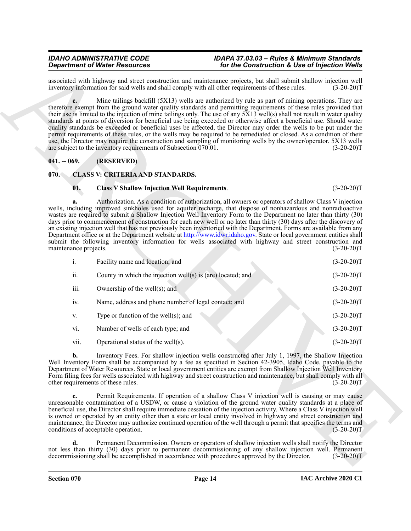### <span id="page-13-0"></span>**041. -- 069. (RESERVED)**

### <span id="page-13-1"></span>**070. CLASS V: CRITERIA AND STANDARDS.**

### <span id="page-13-5"></span><span id="page-13-4"></span><span id="page-13-3"></span><span id="page-13-2"></span>**01. Class V Shallow Injection Well Requirements**. (3-20-20)T

|                             | <b>Department of Water Resources</b>                                                                                                                                                                                                                                                                                                                                                                                                                                                                                                                                                                                                                                                                                                                                                                                                                                                                                | for the Construction & Use of Injection Wells |
|-----------------------------|---------------------------------------------------------------------------------------------------------------------------------------------------------------------------------------------------------------------------------------------------------------------------------------------------------------------------------------------------------------------------------------------------------------------------------------------------------------------------------------------------------------------------------------------------------------------------------------------------------------------------------------------------------------------------------------------------------------------------------------------------------------------------------------------------------------------------------------------------------------------------------------------------------------------|-----------------------------------------------|
|                             | associated with highway and street construction and maintenance projects, but shall submit shallow injection well<br>inventory information for said wells and shall comply with all other requirements of these rules.                                                                                                                                                                                                                                                                                                                                                                                                                                                                                                                                                                                                                                                                                              | $(3-20-20)T$                                  |
|                             | Mine tailings backfill (5X13) wells are authorized by rule as part of mining operations. They are<br>therefore exempt from the ground water quality standards and permitting requirements of these rules provided that<br>their use is limited to the injection of mine tailings only. The use of any 5X13 well(s) shall not result in water quality<br>standards at points of diversion for beneficial use being exceeded or otherwise affect a beneficial use. Should water<br>quality standards be exceeded or beneficial uses be affected, the Director may order the wells to be put under the<br>permit requirements of these rules, or the wells may be required to be remediated or closed. As a condition of their<br>use, the Director may require the construction and sampling of monitoring wells by the owner/operator. 5X13 wells<br>are subject to the inventory requirements of Subsection 070.01. | $(3-20-20)T$                                  |
| $041. - 069.$               | (RESERVED)                                                                                                                                                                                                                                                                                                                                                                                                                                                                                                                                                                                                                                                                                                                                                                                                                                                                                                          |                                               |
| 070.                        | <b>CLASS V: CRITERIA AND STANDARDS.</b>                                                                                                                                                                                                                                                                                                                                                                                                                                                                                                                                                                                                                                                                                                                                                                                                                                                                             |                                               |
| 01.                         | <b>Class V Shallow Injection Well Requirements.</b>                                                                                                                                                                                                                                                                                                                                                                                                                                                                                                                                                                                                                                                                                                                                                                                                                                                                 | $(3-20-20)T$                                  |
| a.<br>maintenance projects. | Authorization. As a condition of authorization, all owners or operators of shallow Class V injection<br>wells, including improved sinkholes used for aquifer recharge, that dispose of nonhazardous and nonradioactive<br>wastes are required to submit a Shallow Injection Well Inventory Form to the Department no later than thirty (30)<br>days prior to commencement of construction for each new well or no later than thirty (30) days after the discovery of<br>an existing injection well that has not previously been inventoried with the Department. Forms are available from any<br>Department office or at the Department website at http://www.idwr.idaho.gov. State or local government entities shall<br>submit the following inventory information for wells associated with highway and street construction and                                                                                  | $(3-20-20)T$                                  |
| i.                          | Facility name and location; and                                                                                                                                                                                                                                                                                                                                                                                                                                                                                                                                                                                                                                                                                                                                                                                                                                                                                     | $(3-20-20)T$                                  |
| ii.                         | County in which the injection well(s) is (are) located; and                                                                                                                                                                                                                                                                                                                                                                                                                                                                                                                                                                                                                                                                                                                                                                                                                                                         | $(3-20-20)T$                                  |
| iii.                        | Ownership of the well $(s)$ ; and                                                                                                                                                                                                                                                                                                                                                                                                                                                                                                                                                                                                                                                                                                                                                                                                                                                                                   | $(3-20-20)T$                                  |
| iv.                         | Name, address and phone number of legal contact; and                                                                                                                                                                                                                                                                                                                                                                                                                                                                                                                                                                                                                                                                                                                                                                                                                                                                | $(3-20-20)T$                                  |
| V.                          | Type or function of the well $(s)$ ; and                                                                                                                                                                                                                                                                                                                                                                                                                                                                                                                                                                                                                                                                                                                                                                                                                                                                            | $(3-20-20)T$                                  |
| vi.                         | Number of wells of each type; and                                                                                                                                                                                                                                                                                                                                                                                                                                                                                                                                                                                                                                                                                                                                                                                                                                                                                   | $(3-20-20)T$                                  |
| vii.                        | Operational status of the well(s).                                                                                                                                                                                                                                                                                                                                                                                                                                                                                                                                                                                                                                                                                                                                                                                                                                                                                  | $(3-20-20)T$                                  |
| b.                          | Inventory Fees. For shallow injection wells constructed after July 1, 1997, the Shallow Injection<br>Well Inventory Form shall be accompanied by a fee as specified in Section 42-3905, Idaho Code, payable to the<br>Department of Water Resources. State or local government entities are exempt from Shallow Injection Well Inventory<br>Form filing fees for wells associated with highway and street construction and maintenance, but shall comply with all<br>other requirements of these rules.                                                                                                                                                                                                                                                                                                                                                                                                             | $(3-20-20)T$                                  |
| c.                          | Permit Requirements. If operation of a shallow Class V injection well is causing or may cause<br>unreasonable contamination of a USDW, or cause a violation of the ground water quality standards at a place of<br>beneficial use, the Director shall require immediate cessation of the injection activity. Where a Class V injection well<br>is owned or operated by an entity other than a state or local entity involved in highway and street construction and<br>maintenance, the Director may authorize continued operation of the well through a permit that specifies the terms and<br>conditions of acceptable operation.                                                                                                                                                                                                                                                                                 | $(3-20-20)T$                                  |
| d.                          | Permanent Decommission. Owners or operators of shallow injection wells shall notify the Director<br>not less than thirty (30) days prior to permanent decommissioning of any shallow injection well. Permanent<br>decommissioning shall be accomplished in accordance with procedures approved by the Director.                                                                                                                                                                                                                                                                                                                                                                                                                                                                                                                                                                                                     | $(3-20-20)T$                                  |
|                             |                                                                                                                                                                                                                                                                                                                                                                                                                                                                                                                                                                                                                                                                                                                                                                                                                                                                                                                     |                                               |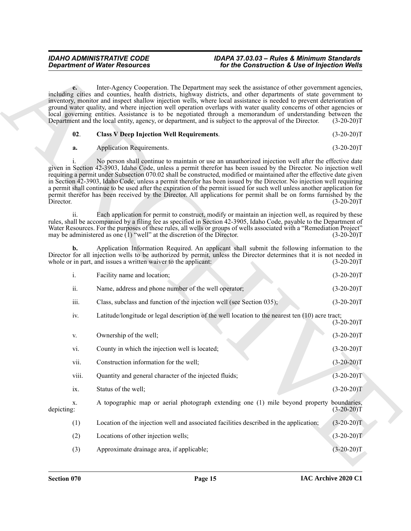<span id="page-14-3"></span><span id="page-14-2"></span><span id="page-14-1"></span><span id="page-14-0"></span>

|  | <b>Class V Deep Injection Well Requirements.</b> | $(3-20-20)T$ |
|--|--------------------------------------------------|--------------|
|--|--------------------------------------------------|--------------|

|                                                                                                                          | <b>Department of Water Resources</b>                                       | for the Construction & Use of Injection Wells                                                                                                                                                                                                                                                                                                                                                                                                                                                                                                                                                                                                                                                                                 |                             |
|--------------------------------------------------------------------------------------------------------------------------|----------------------------------------------------------------------------|-------------------------------------------------------------------------------------------------------------------------------------------------------------------------------------------------------------------------------------------------------------------------------------------------------------------------------------------------------------------------------------------------------------------------------------------------------------------------------------------------------------------------------------------------------------------------------------------------------------------------------------------------------------------------------------------------------------------------------|-----------------------------|
| $e_{\bullet}$<br>Department and the local entity, agency, or department, and is subject to the approval of the Director. |                                                                            | Inter-Agency Cooperation. The Department may seek the assistance of other government agencies,<br>including cities and counties, health districts, highway districts, and other departments of state government to<br>inventory, monitor and inspect shallow injection wells, where local assistance is needed to prevent deterioration of<br>ground water quality, and where injection well operation overlaps with water quality concerns of other agencies or<br>local governing entities. Assistance is to be negotiated through a memorandum of understanding between the<br>$(3-20-20)T$                                                                                                                                |                             |
| 02.                                                                                                                      | <b>Class V Deep Injection Well Requirements.</b>                           |                                                                                                                                                                                                                                                                                                                                                                                                                                                                                                                                                                                                                                                                                                                               | $(3-20-20)T$                |
| a.                                                                                                                       | <b>Application Requirements.</b>                                           |                                                                                                                                                                                                                                                                                                                                                                                                                                                                                                                                                                                                                                                                                                                               | $(3-20-20)T$                |
| Director.                                                                                                                |                                                                            | No person shall continue to maintain or use an unauthorized injection well after the effective date<br>given in Section 42-3903, Idaho Code, unless a permit therefor has been issued by the Director. No injection well<br>requiring a permit under Subsection 070.02 shall be constructed, modified or maintained after the effective date given<br>in Section 42-3903, Idaho Code, unless a permit therefor has been issued by the Director. No injection well requiring<br>a permit shall continue to be used after the expiration of the permit issued for such well unless another application for<br>permit therefor has been received by the Director. All applications for permit shall be on forms furnished by the | $(3-20-20)T$                |
| ii.                                                                                                                      | may be administered as one $(1)$ "well" at the discretion of the Director. | Each application for permit to construct, modify or maintain an injection well, as required by these<br>rules, shall be accompanied by a filing fee as specified in Section 42-3905, Idaho Code, payable to the Department of<br>Water Resources. For the purposes of these rules, all wells or groups of wells associated with a "Remediation Project"                                                                                                                                                                                                                                                                                                                                                                       | $(3-20-20)T$                |
| b.                                                                                                                       | whole or in part, and issues a written waiver to the applicant:            | Application Information Required. An applicant shall submit the following information to the<br>Director for all injection wells to be authorized by permit, unless the Director determines that it is not needed in                                                                                                                                                                                                                                                                                                                                                                                                                                                                                                          | $(3-20-20)T$                |
| i.                                                                                                                       | Facility name and location;                                                |                                                                                                                                                                                                                                                                                                                                                                                                                                                                                                                                                                                                                                                                                                                               | $(3-20-20)T$                |
| ii.                                                                                                                      | Name, address and phone number of the well operator;                       |                                                                                                                                                                                                                                                                                                                                                                                                                                                                                                                                                                                                                                                                                                                               | $(3-20-20)T$                |
| iii.                                                                                                                     | Class, subclass and function of the injection well (see Section 035);      |                                                                                                                                                                                                                                                                                                                                                                                                                                                                                                                                                                                                                                                                                                                               | $(3-20-20)T$                |
| iv.                                                                                                                      |                                                                            | Latitude/longitude or legal description of the well location to the nearest ten (10) acre tract;                                                                                                                                                                                                                                                                                                                                                                                                                                                                                                                                                                                                                              | $(3-20-20)T$                |
| V.                                                                                                                       | Ownership of the well;                                                     |                                                                                                                                                                                                                                                                                                                                                                                                                                                                                                                                                                                                                                                                                                                               | $(3-20-20)T$                |
| vi.                                                                                                                      | County in which the injection well is located;                             |                                                                                                                                                                                                                                                                                                                                                                                                                                                                                                                                                                                                                                                                                                                               | $(3-20-20)T$                |
| vii.                                                                                                                     | Construction information for the well;                                     |                                                                                                                                                                                                                                                                                                                                                                                                                                                                                                                                                                                                                                                                                                                               | $(3-20-20)T$                |
| viii.                                                                                                                    | Quantity and general character of the injected fluids;                     |                                                                                                                                                                                                                                                                                                                                                                                                                                                                                                                                                                                                                                                                                                                               | $(3-20-20)T$                |
| ix.                                                                                                                      | Status of the well;                                                        |                                                                                                                                                                                                                                                                                                                                                                                                                                                                                                                                                                                                                                                                                                                               | $(3-20-20)T$                |
| X.<br>depicting:                                                                                                         |                                                                            | A topographic map or aerial photograph extending one (1) mile beyond property                                                                                                                                                                                                                                                                                                                                                                                                                                                                                                                                                                                                                                                 | boundaries,<br>$(3-20-20)T$ |
| (1)                                                                                                                      |                                                                            | Location of the injection well and associated facilities described in the application;                                                                                                                                                                                                                                                                                                                                                                                                                                                                                                                                                                                                                                        | $(3-20-20)T$                |
| (2)                                                                                                                      | Locations of other injection wells;                                        |                                                                                                                                                                                                                                                                                                                                                                                                                                                                                                                                                                                                                                                                                                                               | $(3-20-20)T$                |
|                                                                                                                          |                                                                            |                                                                                                                                                                                                                                                                                                                                                                                                                                                                                                                                                                                                                                                                                                                               | $(3-20-20)T$                |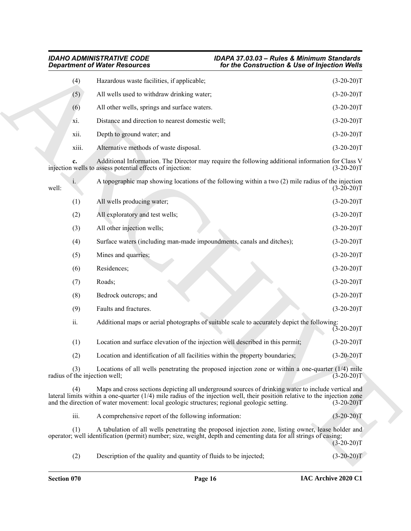### <span id="page-15-0"></span>*IDAHO ADMINISTRATIVE CODE IDAPA 37.03.03 – Rules & Minimum Standards Department of Water Resources for the Construction & Use of Injection Wells*

| <b>Department of Water Resources</b> |       |                                                                                                                                                                                                                                                                                                                                   | for the Construction & Use of Injection Wells |              |
|--------------------------------------|-------|-----------------------------------------------------------------------------------------------------------------------------------------------------------------------------------------------------------------------------------------------------------------------------------------------------------------------------------|-----------------------------------------------|--------------|
|                                      | (4)   | Hazardous waste facilities, if applicable;                                                                                                                                                                                                                                                                                        |                                               | $(3-20-20)T$ |
|                                      | (5)   | All wells used to withdraw drinking water;                                                                                                                                                                                                                                                                                        |                                               | $(3-20-20)T$ |
|                                      | (6)   | All other wells, springs and surface waters.                                                                                                                                                                                                                                                                                      |                                               | $(3-20-20)T$ |
|                                      | xi.   | Distance and direction to nearest domestic well;                                                                                                                                                                                                                                                                                  |                                               | $(3-20-20)T$ |
|                                      | xii.  | Depth to ground water; and                                                                                                                                                                                                                                                                                                        |                                               | $(3-20-20)T$ |
|                                      | xiii. | Alternative methods of waste disposal.                                                                                                                                                                                                                                                                                            |                                               | $(3-20-20)T$ |
|                                      | c.    | Additional Information. The Director may require the following additional information for Class V<br>injection wells to assess potential effects of injection:                                                                                                                                                                    |                                               | $(3-20-20)T$ |
| well:                                |       | A topographic map showing locations of the following within a two (2) mile radius of the injection                                                                                                                                                                                                                                |                                               | $(3-20-20)T$ |
|                                      | (1)   | All wells producing water;                                                                                                                                                                                                                                                                                                        |                                               | $(3-20-20)T$ |
|                                      | (2)   | All exploratory and test wells;                                                                                                                                                                                                                                                                                                   |                                               | $(3-20-20)T$ |
|                                      | (3)   | All other injection wells;                                                                                                                                                                                                                                                                                                        |                                               | $(3-20-20)T$ |
|                                      | (4)   | Surface waters (including man-made impoundments, canals and ditches);                                                                                                                                                                                                                                                             |                                               | $(3-20-20)T$ |
|                                      | (5)   | Mines and quarries;                                                                                                                                                                                                                                                                                                               |                                               | $(3-20-20)T$ |
|                                      | (6)   | Residences;                                                                                                                                                                                                                                                                                                                       |                                               | $(3-20-20)T$ |
|                                      | (7)   | Roads;                                                                                                                                                                                                                                                                                                                            |                                               | $(3-20-20)T$ |
|                                      | (8)   | Bedrock outcrops; and                                                                                                                                                                                                                                                                                                             |                                               | $(3-20-20)T$ |
|                                      | (9)   | Faults and fractures.                                                                                                                                                                                                                                                                                                             |                                               | $(3-20-20)T$ |
|                                      | ii.   | Additional maps or aerial photographs of suitable scale to accurately depict the following:                                                                                                                                                                                                                                       |                                               | $(3-20-20)T$ |
|                                      | (1)   | Location and surface elevation of the injection well described in this permit;                                                                                                                                                                                                                                                    |                                               | $(3-20-20)T$ |
|                                      | (2)   | Location and identification of all facilities within the property boundaries;                                                                                                                                                                                                                                                     |                                               | $(3-20-20)T$ |
|                                      | (3)   | Locations of all wells penetrating the proposed injection zone or within a one-quarter $(1/4)$ mile<br>radius of the injection well;                                                                                                                                                                                              |                                               | $(3-20-20)T$ |
|                                      | (4)   | Maps and cross sections depicting all underground sources of drinking water to include vertical and<br>lateral limits within a one-quarter $(1/4)$ mile radius of the injection well, their position relative to the injection zone<br>and the direction of water movement: local geologic structures; regional geologic setting. |                                               | $(3-20-20)T$ |
|                                      | iii.  | A comprehensive report of the following information:                                                                                                                                                                                                                                                                              |                                               | $(3-20-20)T$ |
|                                      | (1)   | A tabulation of all wells penetrating the proposed injection zone, listing owner, lease holder and<br>operator; well identification (permit) number; size, weight, depth and cementing data for all strings of casing;                                                                                                            |                                               | $(3-20-20)T$ |
|                                      | (2)   | Description of the quality and quantity of fluids to be injected;                                                                                                                                                                                                                                                                 |                                               | $(3-20-20)T$ |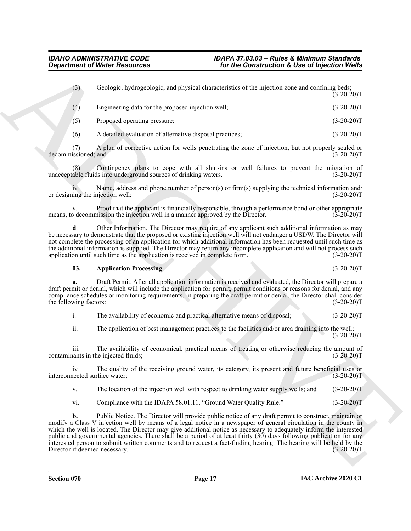(3) Geologic, hydrogeologic, and physical characteristics of the injection zone and confining beds;  $(3-20-20)T$ (4) Engineering data for the proposed injection well; (3-20-20)T (5) Proposed operating pressure; (3-20-20)T

(6) A detailed evaluation of alternative disposal practices;  $(3-20-20)T$ 

(7) A plan of corrective action for wells penetrating the zone of injection, but not properly sealed or decommissioned; and (3-20-20)T

(8) Contingency plans to cope with all shut-ins or well failures to prevent the migration of unacceptable fluids into underground sources of drinking waters. (3-20-20)T

iv. Name, address and phone number of person(s) or firm(s) supplying the technical information and/ or designing the injection well; (3-20-20)T

Proof that the applicant is financially responsible, through a performance bond or other appropriate means, to decommission the injection well in a manner approved by the Director. (3-20-20)T

<span id="page-16-2"></span>**d**. Other Information. The Director may require of any applicant such additional information as may be necessary to demonstrate that the proposed or existing injection well will not endanger a USDW. The Director will not complete the processing of an application for which additional information has been requested until such time as the additional information is supplied. The Director may return any incomplete application and will not process such application until such time as the application is received in complete form. (3-20-20)T

#### <span id="page-16-1"></span><span id="page-16-0"></span>**03. Application Processing**. (3-20-20)T

**a.** Draft Permit. After all application information is received and evaluated, the Director will prepare a draft permit or denial, which will include the application for permit, permit conditions or reasons for denial, and any compliance schedules or monitoring requirements. In preparing the draft permit or denial, the Director shall consider the following factors: (3-20-20)T

i. The availability of economic and practical alternative means of disposal; (3-20-20)T

ii. The application of best management practices to the facilities and/or area draining into the well;

iii. The availability of economical, practical means of treating or otherwise reducing the amount of contaminants in the injected fluids; (3-20-20)T

iv. The quality of the receiving ground water, its category, its present and future beneficial uses or interconnected surface water; (3-20-20)T

v. The location of the injection well with respect to drinking water supply wells; and (3-20-20)T

<span id="page-16-3"></span>vi. Compliance with the IDAPA 58.01.11, "Ground Water Quality Rule." (3-20-20)T

**Contained Water Research 2. To The Construction & Use of Injection Water**<br>
(3) Cookegin, by the special characteristics of the injection of the infection of the internal contained by the contained by the special contai **b.** Public Notice. The Director will provide public notice of any draft permit to construct, maintain or modify a Class V injection well by means of a legal notice in a newspaper of general circulation in the county in which the well is located. The Director may give additional notice as necessary to adequately inform the interested public and governmental agencies. There shall be a period of at least thirty (30) days following publication for any interested person to submit written comments and to request a fact-finding hearing. The hearing will be held by the Director if deemed necessary.

 $(3-20-20)T$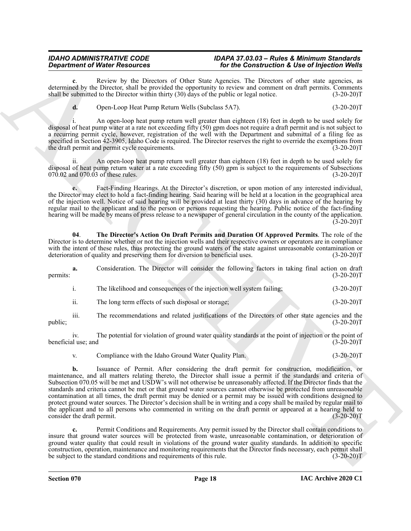Review by the Directors of Other State Agencies. The Directors of other state agencies, as determined by the Director, shall be provided the opportunity to review and comment on draft permits. Comments shall be submitted to the Director within thirty (30) days of the public or legal notice. (3-20-20)T

<span id="page-17-5"></span><span id="page-17-3"></span>**d.** Open-Loop Heat Pump Return Wells (Subclass 5A7). (3-20-20)T

i. An open-loop heat pump return well greater than eighteen (18) feet in depth to be used solely for disposal of heat pump water at a rate not exceeding fifty (50) gpm does not require a draft permit and is not subject to a recurring permit cycle, however, registration of the well with the Department and submittal of a filing fee as specified in Section 42-3905, Idaho Code is required. The Director reserves the right to override the exemptions from the draft permit and permit cycle requirements. (3-20-20) T

ii. An open-loop heat pump return well greater than eighteen (18) feet in depth to be used solely for disposal of heat pump return water at a rate exceeding fifty (50) gpm is subject to the requirements of Subsections  $070.02$  and  $070.03$  of these rules. (3-20-20)T

<span id="page-17-1"></span>**e.** Fact-Finding Hearings. At the Director's discretion, or upon motion of any interested individual, the Director may elect to hold a fact-finding hearing. Said hearing will be held at a location in the geographical area of the injection well. Notice of said hearing will be provided at least thirty (30) days in advance of the hearing by regular mail to the applicant and to the person or persons requesting the hearing. Public notice of the fact-finding hearing will be made by means of press release to a newspaper of general circulation in the county of the application.  $(3-20-20)$ T

<span id="page-17-6"></span>**04**. **The Director's Action On Draft Permits and Duration Of Approved Permits**. The role of the Director is to determine whether or not the injection wells and their respective owners or operators are in compliance with the intent of these rules, thus protecting the ground waters of the state against unreasonable contamination or deterioration of quality and preserving them for diversion to beneficial uses. (3-20-20)T

**a.** Consideration. The Director will consider the following factors in taking final action on draft permits: (3-20-20)T

<span id="page-17-0"></span>

| ı.  | The likelihood and consequences of the injection well system failing; | $(3-20-20)T$ |
|-----|-----------------------------------------------------------------------|--------------|
| ii. | The long term effects of such disposal or storage;                    | $(3-20-20)T$ |

iii. The recommendations and related justifications of the Directors of other state agencies and the (3-20-20)T public; (3-20-20)T

iv. The potential for violation of ground water quality standards at the point of injection or the point of il use; and (3-20-20) beneficial use; and

<span id="page-17-2"></span>v. Compliance with the Idaho Ground Water Quality Plan. (3-20-20)T

**Department of Nice-Yealogical** State Towns 1 for the Construction 1. Developed the original state in the state in the state of the state of the state of the state of the state of the state of the state of the state of th **b.** Issuance of Permit. After considering the draft permit for construction, modification, or maintenance, and all matters relating thereto, the Director shall issue a permit if the standards and criteria of Subsection 070.05 will be met and USDW's will not otherwise be unreasonably affected. If the Director finds that the standards and criteria cannot be met or that ground water sources cannot otherwise be protected from unreasonable contamination at all times, the draft permit may be denied or a permit may be issued with conditions designed to protect ground water sources. The Director's decision shall be in writing and a copy shall be mailed by regular mail to the applicant and to all persons who commented in writing on the draft permit or appeared at a hearing held to consider the draft permit. (3-20-20)T

<span id="page-17-4"></span>**c.** Permit Conditions and Requirements. Any permit issued by the Director shall contain conditions to insure that ground water sources will be protected from waste, unreasonable contamination, or deterioration of ground water quality that could result in violations of the ground water quality standards. In addition to specific construction, operation, maintenance and monitoring requirements that the Director finds necessary, each permit shall be subject to the standard conditions and requirements of this rule. (3-20-20)T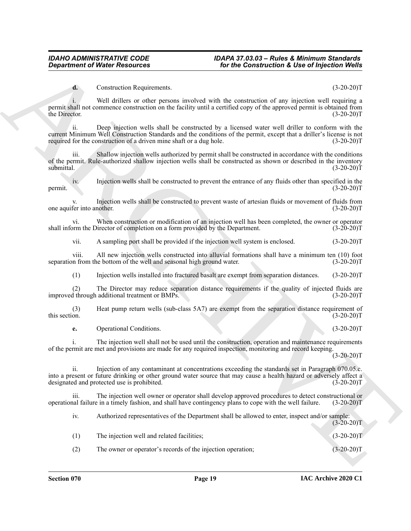#### <span id="page-18-0"></span>**d.** Construction Requirements. (3-20-20)T

i. Well drillers or other persons involved with the construction of any injection well requiring a permit shall not commence construction on the facility until a certified copy of the approved permit is obtained from the Director. (3-20-20)T

ii. Deep injection wells shall be constructed by a licensed water well driller to conform with the current Minimum Well Construction Standards and the conditions of the permit, except that a driller's license is not required for the construction of a driven mine shaft or a dug hole. (3-20-20)T

iii. Shallow injection wells authorized by permit shall be constructed in accordance with the conditions of the permit. Rule-authorized shallow injection wells shall be constructed as shown or described in the inventory submittal. (3-20-20)T

iv. Injection wells shall be constructed to prevent the entrance of any fluids other than specified in the permit.  $(3-20-20)T$ 

Injection wells shall be constructed to prevent waste of artesian fluids or movement of fluids from nother. (3-20-20) one aquifer into another.

vi. When construction or modification of an injection well has been completed, the owner or operator or methor m the Director of completion on a form provided by the Department. (3-20-20) shall inform the Director of completion on a form provided by the Department.

vii. A sampling port shall be provided if the injection well system is enclosed. (3-20-20)T

viii. All new injection wells constructed into alluvial formations shall have a minimum ten (10) foot on from the bottom of the well and seasonal high ground water. (3-20-20) separation from the bottom of the well and seasonal high ground water.

(1) Injection wells installed into fractured basalt are exempt from separation distances. (3-20-20)T

(2) The Director may reduce separation distance requirements if the quality of injected fluids are improved through additional treatment or BMPs. (3-20-20)T

(3) Heat pump return wells (sub-class 5A7) are exempt from the separation distance requirement of this section.  $(3-20-20)T$ 

<span id="page-18-1"></span>**e.** Operational Conditions. (3-20-20)T

i. The injection well shall not be used until the construction, operation and maintenance requirements of the permit are met and provisions are made for any required inspection, monitoring and record keeping.

 $(3-20-20)T$ 

ii. Injection of any contaminant at concentrations exceeding the standards set in Paragraph 070.05.c. into a present or future drinking or other ground water source that may cause a health hazard or adversely affect a designated and protected use is prohibited.

iii. The injection well owner or operator shall develop approved procedures to detect constructional or operational failure in a timely fashion, and shall have contingency plans to cope with the well failure. (3-20-20)T

**Contact of Weiter Research Contact of Contact Contact of Lie of Research (2018)**<br>
Contact Contact Contact Contact Contact Contact Contact Contact Contact Contact Contact Contact Contact Contact Contact Contact Contact Co iv. Authorized representatives of the Department shall be allowed to enter, inspect and/or sample:  $(3-20-20)T$ (1) The injection well and related facilities; (3-20-20)T (2) The owner or operator's records of the injection operation; (3-20-20)T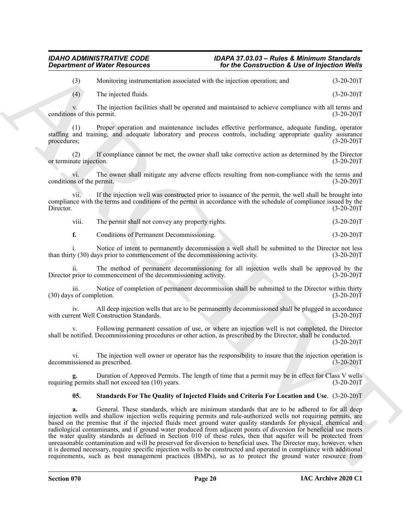(3) Monitoring instrumentation associated with the injection operation; and (3-20-20)T

(4) The injected fluids. (3-20-20)T

v. The injection facilities shall be operated and maintained to achieve compliance with all terms and conditions of this permit. (3-20-20)T

(1) Proper operation and maintenance includes effective performance, adequate funding, operator staffing and training, and adequate laboratory and process controls, including appropriate quality assurance procedures; (3-20-20)T

(2) If compliance cannot be met, the owner shall take corrective action as determined by the Director or terminate injection.

vi. The owner shall mitigate any adverse effects resulting from non-compliance with the terms and us of the permit. (3-20-20) conditions of the permit.

vii. If the injection well was constructed prior to issuance of the permit, the well shall be brought into compliance with the terms and conditions of the permit in accordance with the schedule of compliance issued by the Director. (3-20-20) Director. (3-20-20)T

<span id="page-19-0"></span>viii. The permit shall not convey any property rights. (3-20-20)T

**f.** Conditions of Permanent Decommissioning. (3-20-20)T

i. Notice of intent to permanently decommission a well shall be submitted to the Director not less than thirty (30) days prior to commencement of the decommissioning activity. (3-20-20)T

The method of permanent decommissioning for all injection wells shall be approved by the Director prior to commencement of the decommissioning activity. (3-20-20)T

iii. Notice of completion of permanent decommission shall be submitted to the Director within thirty (30) days of completion. (3-20-20)T

iv. All deep injection wells that are to be permanently decommissioned shall be plugged in accordance with current Well Construction Standards. (3-20-20)T

v. Following permanent cessation of use, or where an injection well is not completed, the Director shall be notified. Decommissioning procedures or other action, as prescribed by the Director, shall be conducted.  $(3-20-20)T$ 

vi. The injection well owner or operator has the responsibility to insure that the injection operation is decommissioned as prescribed. (3-20-20)T

**g.** Duration of Approved Permits. The length of time that a permit may be in effect for Class V wells permits shall not exceed ten (10) years. (3-20-20) requiring permits shall not exceed ten  $(10)$  years.

### <span id="page-19-2"></span><span id="page-19-1"></span>**05. Standards For The Quality of Injected Fluids and Criteria For Location and Use**. (3-20-20)T

**Consideration** of Water Resources<br>
(b) Waters Resources<br>
(b) The injection materials associated with the survivale constant (c) (3-20-20)<br>
(c) The injection final associated with the survivale constant of the survival an **a.** General. These standards, which are minimum standards that are to be adhered to for all deep injection wells and shallow injection wells requiring permits and rule-authorized wells not requiring permits, are based on the premise that if the injected fluids meet ground water quality standards for physical, chemical and radiological contaminants, and if ground water produced from adjacent points of diversion for beneficial use meets the water quality standards as defined in Section 010 of these rules, then that aquifer will be protected from unreasonable contamination and will be preserved for diversion to beneficial uses. The Director may, however, when it is deemed necessary, require specific injection wells to be constructed and operated in compliance with additional requirements, such as best management practices (BMPs), so as to protect the ground water resource from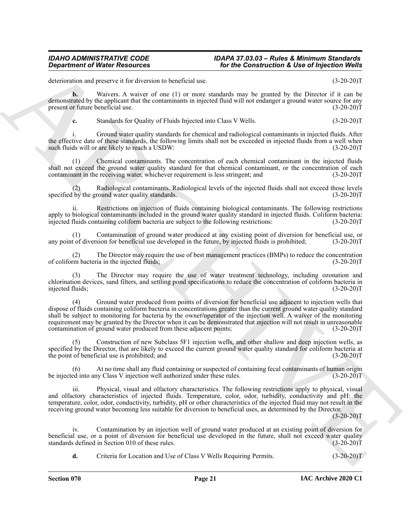deterioration and preserve it for diversion to beneficial use. (3-20-20)T

**b.** Waivers. A waiver of one (1) or more standards may be granted by the Director if it can be demonstrated by the applicant that the contaminants in injected fluid will not endanger a ground water source for any present or future beneficial use. (3-20-20)T

<span id="page-20-1"></span>**c.** Standards for Quality of Fluids Injected into Class V Wells. (3-20-20) T

i. Ground water quality standards for chemical and radiological contaminants in injected fluids. After the effective date of these standards, the following limits shall not be exceeded in injected fluids from a well when such fluids will or are likely to reach a USDW: (3-20-20)T

(1) Chemical contaminants. The concentration of each chemical contaminant in the injected fluids shall not exceed the ground water quality standard for that chemical contaminant, or the concentration of each contaminant in the receiving water, whichever requirement is less stringent; and (3-20-20)T

(2) Radiological contaminants. Radiological levels of the injected fluids shall not exceed those levels specified by the ground water quality standards. (3-20-20)T

Restrictions on injection of fluids containing biological contaminants. The following restrictions apply to biological contaminants included in the ground water quality standard in injected fluids. Coliform bacteria:<br>injected fluids containing coliform bacteria are subject to the following restrictions: (3-20-20) injected fluids containing coliform bacteria are subject to the following restrictions:

Contamination of ground water produced at any existing point of diversion for beneficial use, or any point of diversion for beneficial use developed in the future, by injected fluids is prohibited; (3-20-20)T

(2) The Director may require the use of best management practices (BMPs) to reduce the concentration rm bacteria in the injected fluids; (3-20-20) of coliform bacteria in the injected fluids;

The Director may require the use of water treatment technology, including ozonation and chlorination devices, sand filters, and settling pond specifications to reduce the concentration of coliform bacteria in injected fluids; (3-20-20)T

**Department of Water Researchs**<br> **Sociological Society Action and Society Controller Controller Controller Controller Controller Controller Controller Controller Controller Controller Controller Controller Controller Cont** Ground water produced from points of diversion for beneficial use adjacent to injection wells that dispose of fluids containing coliform bacteria in concentrations greater than the current ground water quality standard shall be subject to monitoring for bacteria by the owner/operator of the injection well. A waiver of the monitoring requirement may be granted by the Director when it can be demonstrated that injection will not result in unreasonable contamination of ground water produced from these adjacent points; (3-20-20)T

Construction of new Subclass 5F1 injection wells, and other shallow and deep injection wells, as specified by the Director, that are likely to exceed the current ground water quality standard for coliform bacteria at the point of beneficial use is prohibited; and (3-20-20)T

At no time shall any fluid containing or suspected of containing fecal contaminants of human origin be injected into any Class V injection well authorized under these rules. (3-20-20)T

iii. Physical, visual and olfactory characteristics. The following restrictions apply to physical, visual and olfactory characteristics of injected fluids. Temperature, color, odor, turbidity, conductivity and pH: the temperature, color, odor, conductivity, turbidity, pH or other characteristics of the injected fluid may not result in the receiving ground water becoming less suitable for diversion to beneficial uses, as determined by the Director.

 $(3-20-20)T$ 

iv. Contamination by an injection well of ground water produced at an existing point of diversion for beneficial use, or a point of diversion for beneficial use developed in the future, shall not exceed water quality standards defined in Section 010 of these rules. (3-20-20) standards defined in Section 010 of these rules.

<span id="page-20-0"></span>**d.** Criteria for Location and Use of Class V Wells Requiring Permits. (3-20-20)T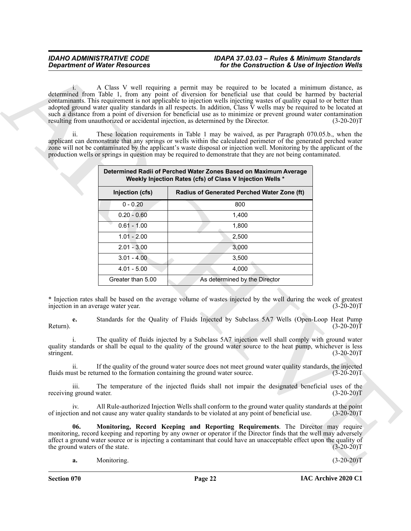|                                                                                                                   | <b>Department of Water Resources</b> | for the Construction & Use of Injection Wells                                                                                                                                                                                                                                                                                                                                                                                                                                                                                                                                                                                                                                                                                                                                                                                                                                                                                                                                                                                                   |                                              |
|-------------------------------------------------------------------------------------------------------------------|--------------------------------------|-------------------------------------------------------------------------------------------------------------------------------------------------------------------------------------------------------------------------------------------------------------------------------------------------------------------------------------------------------------------------------------------------------------------------------------------------------------------------------------------------------------------------------------------------------------------------------------------------------------------------------------------------------------------------------------------------------------------------------------------------------------------------------------------------------------------------------------------------------------------------------------------------------------------------------------------------------------------------------------------------------------------------------------------------|----------------------------------------------|
| $1 -$<br>resulting from unauthorized or accidental injection, as determined by the Director.<br>$\overline{11}$ . |                                      | A Class V well requiring a permit may be required to be located a minimum distance, as<br>determined from Table 1, from any point of diversion for beneficial use that could be harmed by bacterial<br>contaminants. This requirement is not applicable to injection wells injecting wastes of quality equal to or better than<br>adopted ground water quality standards in all respects. In addition, Class $\bar{V}$ wells may be required to be located at<br>such a distance from a point of diversion for beneficial use as to minimize or prevent ground water contamination<br>These location requirements in Table 1 may be waived, as per Paragraph 070.05.b., when the<br>applicant can demonstrate that any springs or wells within the calculated perimeter of the generated perched water<br>zone will not be contaminated by the applicant's waste disposal or injection well. Monitoring by the applicant of the<br>production wells or springs in question may be required to demonstrate that they are not being contaminated. | $(3-20-20)T$                                 |
|                                                                                                                   |                                      | Determined Radii of Perched Water Zones Based on Maximum Average<br>Weekly Injection Rates (cfs) of Class V Injection Wells *                                                                                                                                                                                                                                                                                                                                                                                                                                                                                                                                                                                                                                                                                                                                                                                                                                                                                                                   |                                              |
|                                                                                                                   | Injection (cfs)                      | Radius of Generated Perched Water Zone (ft)                                                                                                                                                                                                                                                                                                                                                                                                                                                                                                                                                                                                                                                                                                                                                                                                                                                                                                                                                                                                     |                                              |
|                                                                                                                   | $0 - 0.20$                           | 800                                                                                                                                                                                                                                                                                                                                                                                                                                                                                                                                                                                                                                                                                                                                                                                                                                                                                                                                                                                                                                             |                                              |
|                                                                                                                   | $0.20 - 0.60$                        | 1,400                                                                                                                                                                                                                                                                                                                                                                                                                                                                                                                                                                                                                                                                                                                                                                                                                                                                                                                                                                                                                                           |                                              |
|                                                                                                                   | $0.61 - 1.00$                        | 1,800                                                                                                                                                                                                                                                                                                                                                                                                                                                                                                                                                                                                                                                                                                                                                                                                                                                                                                                                                                                                                                           |                                              |
|                                                                                                                   | $1.01 - 2.00$                        | 2,500                                                                                                                                                                                                                                                                                                                                                                                                                                                                                                                                                                                                                                                                                                                                                                                                                                                                                                                                                                                                                                           |                                              |
|                                                                                                                   | $2.01 - 3.00$                        | 3,000                                                                                                                                                                                                                                                                                                                                                                                                                                                                                                                                                                                                                                                                                                                                                                                                                                                                                                                                                                                                                                           |                                              |
|                                                                                                                   | $3.01 - 4.00$                        | 3,500                                                                                                                                                                                                                                                                                                                                                                                                                                                                                                                                                                                                                                                                                                                                                                                                                                                                                                                                                                                                                                           |                                              |
|                                                                                                                   | $4.01 - 5.00$                        | 4,000                                                                                                                                                                                                                                                                                                                                                                                                                                                                                                                                                                                                                                                                                                                                                                                                                                                                                                                                                                                                                                           |                                              |
|                                                                                                                   | Greater than 5.00                    | As determined by the Director                                                                                                                                                                                                                                                                                                                                                                                                                                                                                                                                                                                                                                                                                                                                                                                                                                                                                                                                                                                                                   |                                              |
|                                                                                                                   |                                      |                                                                                                                                                                                                                                                                                                                                                                                                                                                                                                                                                                                                                                                                                                                                                                                                                                                                                                                                                                                                                                                 |                                              |
| injection in an average water year.<br>e.<br>Return).<br>stringent.                                               |                                      | * Injection rates shall be based on the average volume of wastes injected by the well during the week of greatest<br>Standards for the Quality of Fluids Injected by Subclass 5A7 Wells (Open-Loop Heat Pump<br>The quality of fluids injected by a Subclass 5A7 injection well shall comply with ground water<br>quality standards or shall be equal to the quality of the ground water source to the heat pump, whichever is less                                                                                                                                                                                                                                                                                                                                                                                                                                                                                                                                                                                                             | $(3-20-20)T$<br>$(3-20-20)T$<br>$(3-20-20)T$ |
| ii.                                                                                                               |                                      | If the quality of the ground water source does not meet ground water quality standards, the injected<br>fluids must be returned to the formation containing the ground water source.                                                                                                                                                                                                                                                                                                                                                                                                                                                                                                                                                                                                                                                                                                                                                                                                                                                            | $(3-20-20)T$                                 |
| iii.<br>receiving ground water.                                                                                   |                                      | The temperature of the injected fluids shall not impair the designated beneficial uses of the                                                                                                                                                                                                                                                                                                                                                                                                                                                                                                                                                                                                                                                                                                                                                                                                                                                                                                                                                   | $(3-20-20)T$                                 |
| iv.                                                                                                               |                                      | All Rule-authorized Injection Wells shall conform to the ground water quality standards at the point<br>of injection and not cause any water quality standards to be violated at any point of beneficial use.                                                                                                                                                                                                                                                                                                                                                                                                                                                                                                                                                                                                                                                                                                                                                                                                                                   | $(3-20-20)T$                                 |
| 06.<br>the ground waters of the state.                                                                            |                                      | Monitoring, Record Keeping and Reporting Requirements. The Director may require<br>monitoring, record keeping and reporting by any owner or operator if the Director finds that the well may adversely<br>affect a ground water source or is injecting a contaminant that could have an unacceptable effect upon the quality of                                                                                                                                                                                                                                                                                                                                                                                                                                                                                                                                                                                                                                                                                                                 | $(3-20-20)T$                                 |

<span id="page-21-1"></span><span id="page-21-0"></span>**Section 070 Page 22**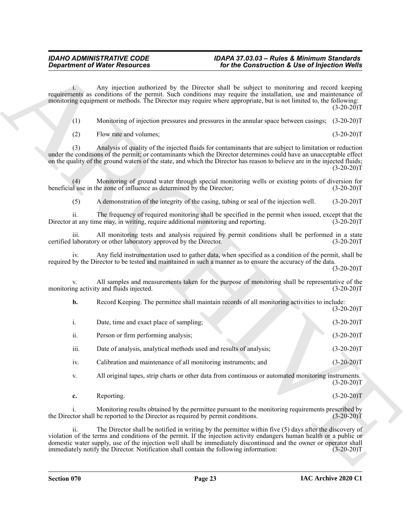- (1) Monitoring of injection pressures and pressures in the annular space between casings; (3-20-20)T
- (2) Flow rate and volumes; (3-20-20)T

|      | <b>Department of Water Resources</b>                                                                                                                                                                         | for the Construction & Use of Injection Wells                                                                                                                                                                                                                                                                                                                |              |
|------|--------------------------------------------------------------------------------------------------------------------------------------------------------------------------------------------------------------|--------------------------------------------------------------------------------------------------------------------------------------------------------------------------------------------------------------------------------------------------------------------------------------------------------------------------------------------------------------|--------------|
|      |                                                                                                                                                                                                              | Any injection authorized by the Director shall be subject to monitoring and record keeping<br>requirements as conditions of the permit. Such conditions may require the installation, use and maintenance of<br>monitoring equipment or methods. The Director may require where appropriate, but is not limited to, the following:                           | $(3-20-20)T$ |
| (1)  |                                                                                                                                                                                                              | Monitoring of injection pressures and pressures in the annular space between casings; (3-20-20)T                                                                                                                                                                                                                                                             |              |
| (2)  | Flow rate and volumes;                                                                                                                                                                                       |                                                                                                                                                                                                                                                                                                                                                              | $(3-20-20)T$ |
| (3)  |                                                                                                                                                                                                              | Analysis of quality of the injected fluids for contaminants that are subject to limitation or reduction<br>under the conditions of the permit; or contaminants which the Director determines could have an unacceptable effect<br>on the quality of the ground waters of the state, and which the Director has reason to believe are in the injected fluids; | $(3-20-20)T$ |
| (4)  | beneficial use in the zone of influence as determined by the Director;                                                                                                                                       | Monitoring of ground water through special monitoring wells or existing points of diversion for                                                                                                                                                                                                                                                              | $(3-20-20)T$ |
| (5)  |                                                                                                                                                                                                              | A demonstration of the integrity of the casing, tubing or seal of the injection well.                                                                                                                                                                                                                                                                        | $(3-20-20)T$ |
| 11.  | Director at any time may, in writing, require additional monitoring and reporting.                                                                                                                           | The frequency of required monitoring shall be specified in the permit when issued, except that the                                                                                                                                                                                                                                                           | $(3-20-20)T$ |
| 111. | certified laboratory or other laboratory approved by the Director.                                                                                                                                           | All monitoring tests and analysis required by permit conditions shall be performed in a state                                                                                                                                                                                                                                                                | $(3-20-20)T$ |
| 1V.  |                                                                                                                                                                                                              | Any field instrumentation used to gather data, when specified as a condition of the permit, shall be<br>required by the Director to be tested and maintained in such a manner as to ensure the accuracy of the data.                                                                                                                                         | $(3-20-20)T$ |
|      | monitoring activity and fluids injected.                                                                                                                                                                     | All samples and measurements taken for the purpose of monitoring shall be representative of the                                                                                                                                                                                                                                                              | $(3-20-20)T$ |
| b.   |                                                                                                                                                                                                              | Record Keeping. The permittee shall maintain records of all monitoring activities to include:                                                                                                                                                                                                                                                                | $(3-20-20)T$ |
| i.   | Date, time and exact place of sampling;                                                                                                                                                                      |                                                                                                                                                                                                                                                                                                                                                              | $(3-20-20)T$ |
| ii.  | Person or firm performing analysis;                                                                                                                                                                          |                                                                                                                                                                                                                                                                                                                                                              | $(3-20-20)T$ |
| iii. | Date of analysis, analytical methods used and results of analysis;                                                                                                                                           |                                                                                                                                                                                                                                                                                                                                                              | $(3-20-20)T$ |
| iv.  | Calibration and maintenance of all monitoring instruments; and                                                                                                                                               |                                                                                                                                                                                                                                                                                                                                                              | $(3-20-20)T$ |
| V.   |                                                                                                                                                                                                              | All original tapes, strip charts or other data from continuous or automated monitoring instruments.                                                                                                                                                                                                                                                          | $(3-20-20)T$ |
| c.   | Reporting.                                                                                                                                                                                                   |                                                                                                                                                                                                                                                                                                                                                              | $(3-20-20)T$ |
|      | the Director shall be reported to the Director as required by permit conditions.                                                                                                                             | Monitoring results obtained by the permittee pursuant to the monitoring requirements prescribed by                                                                                                                                                                                                                                                           | $(3-20-20)T$ |
| ii.  |                                                                                                                                                                                                              | The Director shall be notified in writing by the permittee within five $(5)$ days after the discovery of<br>violation of the terms and conditions of the permit. If the injection activity endangers human health or a public or                                                                                                                             |              |
|      | domestic water supply, use of the injection well shall be immediately discontinued and the owner or operator shall<br>immediately notify the Director. Notification shall contain the following information: |                                                                                                                                                                                                                                                                                                                                                              | $(3-20-20)T$ |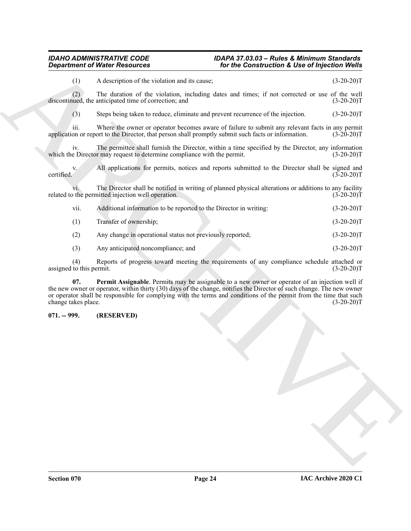#### *IDAHO ADMINISTRATIVE CODE IDAPA 37.03.03 – Rules & Minimum Standards Department of Water Resources for the Construction & Use of Injection Wells*

|                                    | for the Construction & Use of Injection Wells                                                                                                                  |                                                                                                                                                                                                                                                                                                                                                                                                                                                                                                                                                                                                                                                                                                                                                                                                                                                                                                                                                                                                                                                                                                                                                                                                                                                                                                                                                                                                                             |  |
|------------------------------------|----------------------------------------------------------------------------------------------------------------------------------------------------------------|-----------------------------------------------------------------------------------------------------------------------------------------------------------------------------------------------------------------------------------------------------------------------------------------------------------------------------------------------------------------------------------------------------------------------------------------------------------------------------------------------------------------------------------------------------------------------------------------------------------------------------------------------------------------------------------------------------------------------------------------------------------------------------------------------------------------------------------------------------------------------------------------------------------------------------------------------------------------------------------------------------------------------------------------------------------------------------------------------------------------------------------------------------------------------------------------------------------------------------------------------------------------------------------------------------------------------------------------------------------------------------------------------------------------------------|--|
|                                    |                                                                                                                                                                | $(3-20-20)T$                                                                                                                                                                                                                                                                                                                                                                                                                                                                                                                                                                                                                                                                                                                                                                                                                                                                                                                                                                                                                                                                                                                                                                                                                                                                                                                                                                                                                |  |
|                                    |                                                                                                                                                                | $(3-20-20)T$                                                                                                                                                                                                                                                                                                                                                                                                                                                                                                                                                                                                                                                                                                                                                                                                                                                                                                                                                                                                                                                                                                                                                                                                                                                                                                                                                                                                                |  |
|                                    |                                                                                                                                                                | $(3-20-20)T$                                                                                                                                                                                                                                                                                                                                                                                                                                                                                                                                                                                                                                                                                                                                                                                                                                                                                                                                                                                                                                                                                                                                                                                                                                                                                                                                                                                                                |  |
|                                    |                                                                                                                                                                | $(3-20-20)T$                                                                                                                                                                                                                                                                                                                                                                                                                                                                                                                                                                                                                                                                                                                                                                                                                                                                                                                                                                                                                                                                                                                                                                                                                                                                                                                                                                                                                |  |
|                                    |                                                                                                                                                                | $(3-20-20)T$                                                                                                                                                                                                                                                                                                                                                                                                                                                                                                                                                                                                                                                                                                                                                                                                                                                                                                                                                                                                                                                                                                                                                                                                                                                                                                                                                                                                                |  |
|                                    |                                                                                                                                                                | $(3-20-20)T$                                                                                                                                                                                                                                                                                                                                                                                                                                                                                                                                                                                                                                                                                                                                                                                                                                                                                                                                                                                                                                                                                                                                                                                                                                                                                                                                                                                                                |  |
|                                    |                                                                                                                                                                | $(3-20-20)T$                                                                                                                                                                                                                                                                                                                                                                                                                                                                                                                                                                                                                                                                                                                                                                                                                                                                                                                                                                                                                                                                                                                                                                                                                                                                                                                                                                                                                |  |
|                                    |                                                                                                                                                                | $(3-20-20)T$                                                                                                                                                                                                                                                                                                                                                                                                                                                                                                                                                                                                                                                                                                                                                                                                                                                                                                                                                                                                                                                                                                                                                                                                                                                                                                                                                                                                                |  |
| Transfer of ownership;             |                                                                                                                                                                | $(3-20-20)T$                                                                                                                                                                                                                                                                                                                                                                                                                                                                                                                                                                                                                                                                                                                                                                                                                                                                                                                                                                                                                                                                                                                                                                                                                                                                                                                                                                                                                |  |
|                                    |                                                                                                                                                                | $(3-20-20)T$                                                                                                                                                                                                                                                                                                                                                                                                                                                                                                                                                                                                                                                                                                                                                                                                                                                                                                                                                                                                                                                                                                                                                                                                                                                                                                                                                                                                                |  |
| Any anticipated noncompliance; and |                                                                                                                                                                | $(3-20-20)T$                                                                                                                                                                                                                                                                                                                                                                                                                                                                                                                                                                                                                                                                                                                                                                                                                                                                                                                                                                                                                                                                                                                                                                                                                                                                                                                                                                                                                |  |
|                                    |                                                                                                                                                                | $(3-20-20)T$                                                                                                                                                                                                                                                                                                                                                                                                                                                                                                                                                                                                                                                                                                                                                                                                                                                                                                                                                                                                                                                                                                                                                                                                                                                                                                                                                                                                                |  |
|                                    |                                                                                                                                                                | $(3-20-20)T$                                                                                                                                                                                                                                                                                                                                                                                                                                                                                                                                                                                                                                                                                                                                                                                                                                                                                                                                                                                                                                                                                                                                                                                                                                                                                                                                                                                                                |  |
| (RESERVED)                         |                                                                                                                                                                |                                                                                                                                                                                                                                                                                                                                                                                                                                                                                                                                                                                                                                                                                                                                                                                                                                                                                                                                                                                                                                                                                                                                                                                                                                                                                                                                                                                                                             |  |
|                                    |                                                                                                                                                                |                                                                                                                                                                                                                                                                                                                                                                                                                                                                                                                                                                                                                                                                                                                                                                                                                                                                                                                                                                                                                                                                                                                                                                                                                                                                                                                                                                                                                             |  |
|                                    | discontinued, the anticipated time of correction; and<br>related to the permitted injection well operation.<br>assigned to this permit.<br>change takes place. | A description of the violation and its cause;<br>The duration of the violation, including dates and times; if not corrected or use of the well<br>Steps being taken to reduce, eliminate and prevent recurrence of the injection.<br>Where the owner or operator becomes aware of failure to submit any relevant facts in any permit<br>application or report to the Director, that person shall promptly submit such facts or information.<br>The permittee shall furnish the Director, within a time specified by the Director, any information<br>which the Director may request to determine compliance with the permit.<br>All applications for permits, notices and reports submitted to the Director shall be signed and<br>The Director shall be notified in writing of planned physical alterations or additions to any facility<br>Additional information to be reported to the Director in writing:<br>Any change in operational status not previously reported;<br>Reports of progress toward meeting the requirements of any compliance schedule attached or<br>Permit Assignable. Permits may be assignable to a new owner or operator of an injection well if<br>the new owner or operator, within thirty (30) days of the change, notifies the Director of such change. The new owner<br>or operator shall be responsible for complying with the terms and conditions of the permit from the time that such |  |

### <span id="page-23-1"></span><span id="page-23-0"></span>**071. -- 999. (RESERVED)**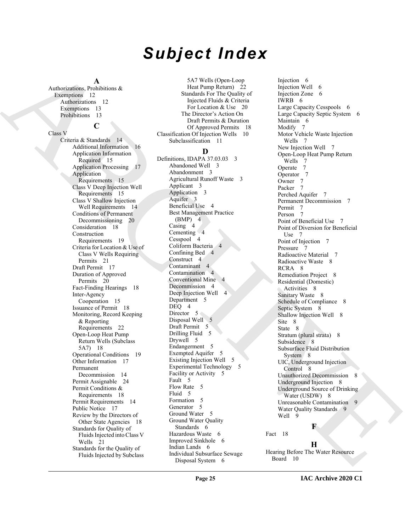# *Subject Index*

### **A**

Authorizations, Prohibitions & Exemptions 12 Authorizations 12 Exemptions 13 Prohibitions 13

# **C**

Class V

Criteria & Standards 14 Additional Information 16 Application Information Required 15 Application Processing 17 Application Requirements 15 Class V Deep Injection Well Requirements 15 Class V Shallow Injection Well Requirements 14 Conditions of Permanent Decommissioning 20 Consideration 18 Construction Requirements 19 Criteria for Location & Use of Class V Wells Requiring Permits 21 Draft Permit 17 Duration of Approved Permits 20 Fact-Finding Hearings 18 Inter-Agency Cooperation 15 Issuance of Permit 18 Monitoring, Record Keeping & Reporting Requirements 22 Open-Loop Heat Pump Return Wells (Subclass 5A7) 18 Operational Conditions 19 Other Information 17 Permanent Decommission 14 Permit Assignable 24 Permit Conditions & Requirements 18 Permit Requirements 14 Public Notice 17 Review by the Directors of Other State Agencies 18 Standards for Quality of Fluids Injected into Class V Wells 21 Standards for the Quality of Fluids Injected by Subclass

5A7 Wells (Open-Loop Heat Pump Return) 22 Standards For The Quality of Injected Fluids & Criteria For Location & Use 20 The Director's Action On Draft Permits & Duration Of Approved Permits 18 Classification Of Injection Wells 10 Subclassification 11 **D**

Definitions, IDAPA 37.03.03 3 Abandoned Well 3 Abandonment 3 Agricultural Runoff Waste 3 Applicant 3 Application 3 Aquifer 3 Beneficial Use 4 Best Management Practice (BMP) 4 Casing 4 Cementing 4 Cesspool 4 Coliform Bacteria 4 Confining Bed 4 Construct 4 Contaminant 4 Contamination 4 Conventional Mine 4 Decommission 4 Deep Injection Well 4 Department 5 DEO<sub>4</sub> Director 5 Disposal Well 5 Draft Permit 5 Drilling Fluid 5 Drywell 5 Endangerment 5 Exempted Aquifer 5 Existing Injection Well 5 Experimental Technology 5 Facility or Activity 5 Fault 5 Flow Rate 5 Fluid 5 Formation 5 Generator 5 Ground Water 5 Ground Water Quality Standards 6 Hazardous Waste 6 Improved Sinkhole 6 Indian Lands 6 Individual Subsurface Sewage Disposal System 6

[A](#page-11-2)[R](#page-14-0)[C](#page-3-1)[H](#page-3-3)IT[E](#page-7-16)CTURE IN the formula of the formula of the formula of the formula of the formula of the formula of the formula of the formula of the formula of the formula of the formula of the formula of the formula of the formul Injection 6 Injection Well 6 Injection Zone 6 IWRB 6 Large Capacity Cesspools 6 Large Capacity Septic System 6 Maintain 6 Modify 7 Motor Vehicle Waste Injection Wells 7 New Injection Well 7 Open-Loop Heat Pump Return Wells 7 Operate 7 Operator 7 Owner 7 Packer Perched Aquifer 7 Permanent Decommission 7 Permit 7 Person 7 Point of Beneficial Use 7 Point of Diversion for Beneficial Use 7 Point of Injection 7 Pressure 7 Radioactive Material 7 Radioactive Waste 8 RCRA 8 Remediation Project 8 Residential (Domestic) Activities 8 Sanitary Waste 8 Schedule of Compliance 8 Septic System 8 Shallow Injection Well 8 Site 8 State 8 Stratum (plural strata) 8 Subsidence 8 Subsurface Fluid Distribution System 8 UIC, Underground Injection Control 8 Unauthorized Decommission 8 Underground Injection 8 Underground Source of Drinking Water (USDW) 8 Unreasonable Contamination 9 Water Quality Standards 9 Well 9

### **F**

Fact 18

### **H**

Hearing Before The Water Resource Board 10